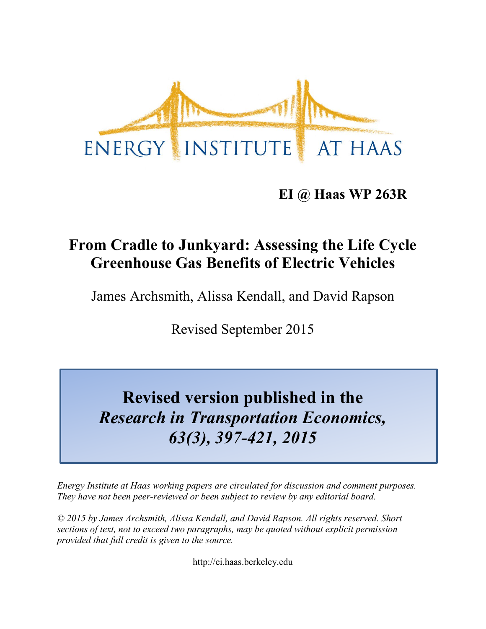

## **EI @ Haas WP 263R**

# **From Cradle to Junkyard: Assessing the Life Cycle Greenhouse Gas Benefits of Electric Vehicles**

James Archsmith, Alissa Kendall, and David Rapson

Revised September 2015

# **Revised version published in the** *Research in Transportation Economics, 63(3), 397-421, 2015*

*Energy Institute at Haas working papers are circulated for discussion and comment purposes. They have not been peer-reviewed or been subject to review by any editorial board.*

*© 2015 by James Archsmith, Alissa Kendall, and David Rapson. All rights reserved. Short sections of text, not to exceed two paragraphs, may be quoted without explicit permission provided that full credit is given to the source.*

http://ei.haas.berkeley.edu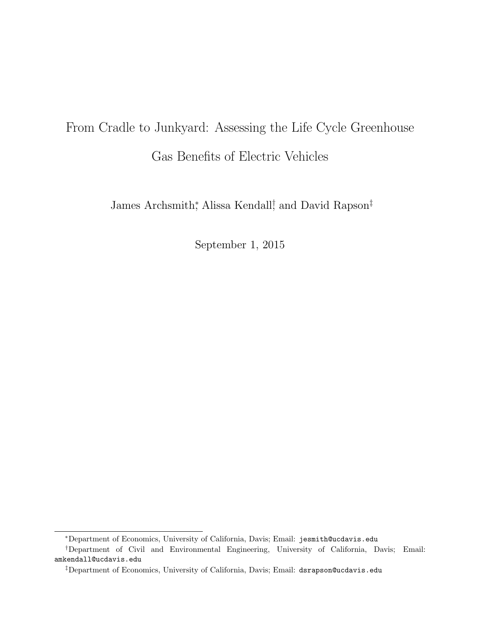# From Cradle to Junkyard: Assessing the Life Cycle Greenhouse Gas Benefits of Electric Vehicles

James Archsmith<sup>∗</sup> , Alissa Kendall† , and David Rapson‡

September 1, 2015

<sup>∗</sup>Department of Economics, University of California, Davis; Email: jesmith@ucdavis.edu

<sup>†</sup>Department of Civil and Environmental Engineering, University of California, Davis; Email: amkendall@ucdavis.edu

<sup>‡</sup>Department of Economics, University of California, Davis; Email: dsrapson@ucdavis.edu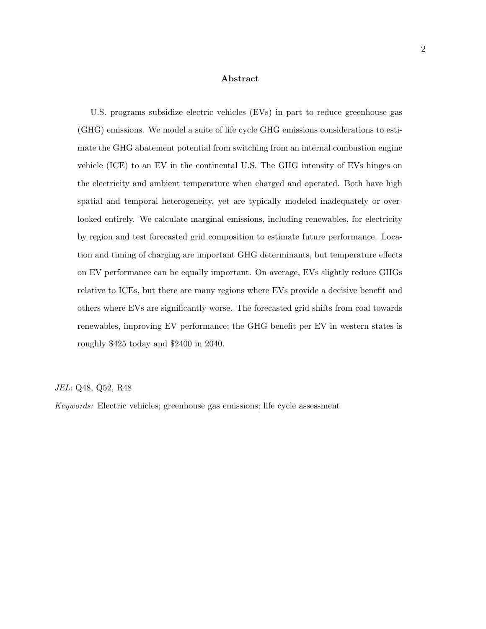#### Abstract

U.S. programs subsidize electric vehicles (EVs) in part to reduce greenhouse gas (GHG) emissions. We model a suite of life cycle GHG emissions considerations to estimate the GHG abatement potential from switching from an internal combustion engine vehicle (ICE) to an EV in the continental U.S. The GHG intensity of EVs hinges on the electricity and ambient temperature when charged and operated. Both have high spatial and temporal heterogeneity, yet are typically modeled inadequately or overlooked entirely. We calculate marginal emissions, including renewables, for electricity by region and test forecasted grid composition to estimate future performance. Location and timing of charging are important GHG determinants, but temperature effects on EV performance can be equally important. On average, EVs slightly reduce GHGs relative to ICEs, but there are many regions where EVs provide a decisive benefit and others where EVs are significantly worse. The forecasted grid shifts from coal towards renewables, improving EV performance; the GHG benefit per EV in western states is roughly \$425 today and \$2400 in 2040.

JEL: Q48, Q52, R48

Keywords: Electric vehicles; greenhouse gas emissions; life cycle assessment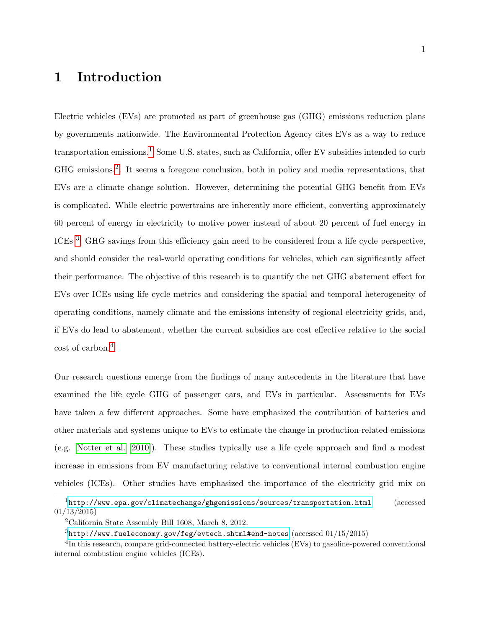## 1 Introduction

Electric vehicles (EVs) are promoted as part of greenhouse gas (GHG) emissions reduction plans by governments nationwide. The Environmental Protection Agency cites EVs as a way to reduce transportation emissions.1 Some U.S. states, such as California, offer EV subsidies intended to curb GHG emissions.2 . It seems a foregone conclusion, both in policy and media representations, that EVs are a climate change solution. However, determining the potential GHG benefit from EVs is complicated. While electric powertrains are inherently more efficient, converting approximately 60 percent of energy in electricity to motive power instead of about 20 percent of fuel energy in ICEs<sup>3</sup>, GHG savings from this efficiency gain need to be considered from a life cycle perspective, and should consider the real-world operating conditions for vehicles, which can significantly affect their performance. The objective of this research is to quantify the net GHG abatement effect for EVs over ICEs using life cycle metrics and considering the spatial and temporal heterogeneity of operating conditions, namely climate and the emissions intensity of regional electricity grids, and, if EVs do lead to abatement, whether the current subsidies are cost effective relative to the social cost of carbon.4

Our research questions emerge from the findings of many antecedents in the literature that have examined the life cycle GHG of passenger cars, and EVs in particular. Assessments for EVs have taken a few different approaches. Some have emphasized the contribution of batteries and other materials and systems unique to EVs to estimate the change in production-related emissions (e.g. Notter et al. [2010]). These studies typically use a life cycle approach and find a modest increase in emissions from EV manufacturing relative to conventional internal combustion engine vehicles (ICEs). Other studies have emphasized the importance of the electricity grid mix on

<sup>1</sup><http://www.epa.gov/climatechange/ghgemissions/sources/transportation.html> (accessed 01/13/2015)

<sup>2</sup>California State Assembly Bill 1608, March 8, 2012.

 $3$ <http://www.fueleconomy.gov/feg/evtech.shtml#end-notes> (accessed  $01/15/2015$ )

<sup>&</sup>lt;sup>4</sup>In this research, compare grid-connected battery-electric vehicles (EVs) to gasoline-powered conventional internal combustion engine vehicles (ICEs).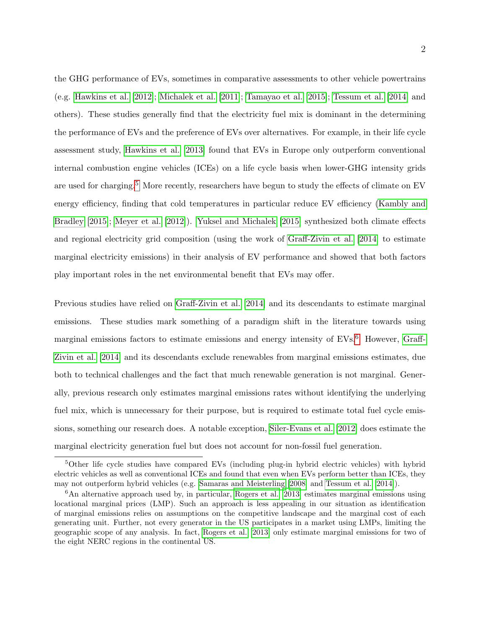the GHG performance of EVs, sometimes in comparative assessments to other vehicle powertrains (e.g. Hawkins et al. [2012]; Michalek et al. [2011]; Tamayao et al. [2015]; Tessum et al. [2014] and others). These studies generally find that the electricity fuel mix is dominant in the determining the performance of EVs and the preference of EVs over alternatives. For example, in their life cycle assessment study, Hawkins et al. [2013] found that EVs in Europe only outperform conventional internal combustion engine vehicles (ICEs) on a life cycle basis when lower-GHG intensity grids are used for charging.<sup>5</sup> More recently, researchers have begun to study the effects of climate on EV energy efficiency, finding that cold temperatures in particular reduce EV efficiency (Kambly and Bradley [2015]; Meyer et al. [2012]). Yuksel and Michalek [2015] synthesized both climate effects and regional electricity grid composition (using the work of Graff-Zivin et al. [2014] to estimate marginal electricity emissions) in their analysis of EV performance and showed that both factors play important roles in the net environmental benefit that EVs may offer.

Previous studies have relied on Graff-Zivin et al. [2014] and its descendants to estimate marginal emissions. These studies mark something of a paradigm shift in the literature towards using marginal emissions factors to estimate emissions and energy intensity of  $EVs<sup>6</sup>$  However, Graff-Zivin et al. [2014] and its descendants exclude renewables from marginal emissions estimates, due both to technical challenges and the fact that much renewable generation is not marginal. Generally, previous research only estimates marginal emissions rates without identifying the underlying fuel mix, which is unnecessary for their purpose, but is required to estimate total fuel cycle emissions, something our research does. A notable exception, Siler-Evans et al. [2012] does estimate the marginal electricity generation fuel but does not account for non-fossil fuel generation.

<sup>5</sup>Other life cycle studies have compared EVs (including plug-in hybrid electric vehicles) with hybrid electric vehicles as well as conventional ICEs and found that even when EVs perform better than ICEs, they may not outperform hybrid vehicles (e.g. Samaras and Meisterling [2008] and Tessum et al. [2014]).

 $6$ An alternative approach used by, in particular, Rogers et al. [2013] estimates marginal emissions using locational marginal prices (LMP). Such an approach is less appealing in our situation as identification of marginal emissions relies on assumptions on the competitive landscape and the marginal cost of each generating unit. Further, not every generator in the US participates in a market using LMPs, limiting the geographic scope of any analysis. In fact, Rogers et al. [2013] only estimate marginal emissions for two of the eight NERC regions in the continental US.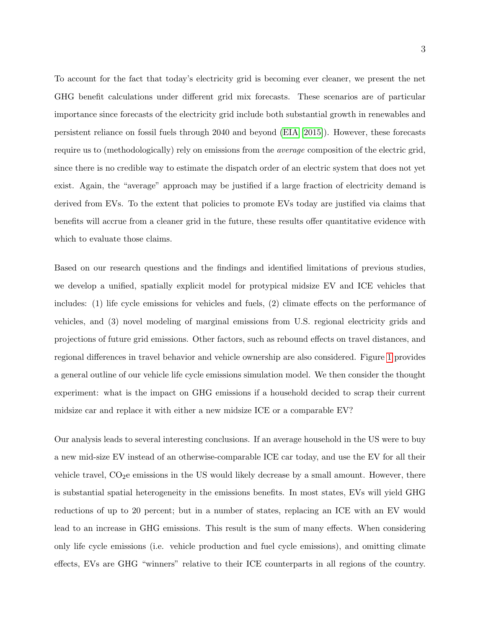To account for the fact that today's electricity grid is becoming ever cleaner, we present the net GHG benefit calculations under different grid mix forecasts. These scenarios are of particular importance since forecasts of the electricity grid include both substantial growth in renewables and persistent reliance on fossil fuels through 2040 and beyond (EIA [2015]). However, these forecasts require us to (methodologically) rely on emissions from the average composition of the electric grid, since there is no credible way to estimate the dispatch order of an electric system that does not yet exist. Again, the "average" approach may be justified if a large fraction of electricity demand is derived from EVs. To the extent that policies to promote EVs today are justified via claims that benefits will accrue from a cleaner grid in the future, these results offer quantitative evidence with which to evaluate those claims.

Based on our research questions and the findings and identified limitations of previous studies, we develop a unified, spatially explicit model for protypical midsize EV and ICE vehicles that includes: (1) life cycle emissions for vehicles and fuels, (2) climate effects on the performance of vehicles, and (3) novel modeling of marginal emissions from U.S. regional electricity grids and projections of future grid emissions. Other factors, such as rebound effects on travel distances, and regional differences in travel behavior and vehicle ownership are also considered. Figure 1 provides a general outline of our vehicle life cycle emissions simulation model. We then consider the thought experiment: what is the impact on GHG emissions if a household decided to scrap their current midsize car and replace it with either a new midsize ICE or a comparable EV?

Our analysis leads to several interesting conclusions. If an average household in the US were to buy a new mid-size EV instead of an otherwise-comparable ICE car today, and use the EV for all their vehicle travel,  $CO<sub>2</sub>e$  emissions in the US would likely decrease by a small amount. However, there is substantial spatial heterogeneity in the emissions benefits. In most states, EVs will yield GHG reductions of up to 20 percent; but in a number of states, replacing an ICE with an EV would lead to an increase in GHG emissions. This result is the sum of many effects. When considering only life cycle emissions (i.e. vehicle production and fuel cycle emissions), and omitting climate effects, EVs are GHG "winners" relative to their ICE counterparts in all regions of the country.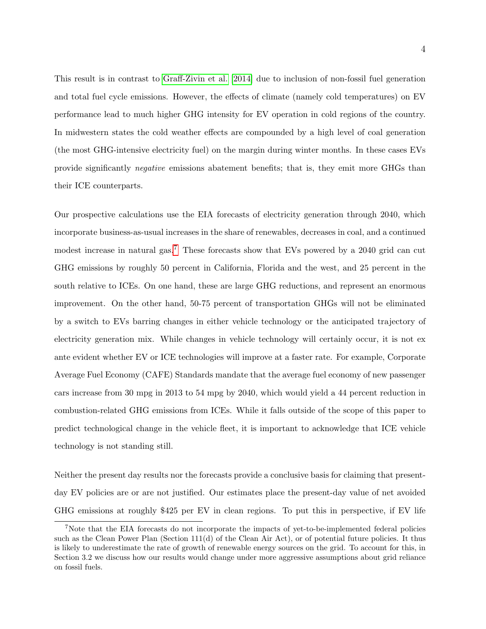This result is in contrast to Graff-Zivin et al. [2014] due to inclusion of non-fossil fuel generation and total fuel cycle emissions. However, the effects of climate (namely cold temperatures) on EV performance lead to much higher GHG intensity for EV operation in cold regions of the country. In midwestern states the cold weather effects are compounded by a high level of coal generation (the most GHG-intensive electricity fuel) on the margin during winter months. In these cases EVs provide significantly negative emissions abatement benefits; that is, they emit more GHGs than their ICE counterparts.

Our prospective calculations use the EIA forecasts of electricity generation through 2040, which incorporate business-as-usual increases in the share of renewables, decreases in coal, and a continued modest increase in natural gas.<sup>7</sup> These forecasts show that EVs powered by a 2040 grid can cut GHG emissions by roughly 50 percent in California, Florida and the west, and 25 percent in the south relative to ICEs. On one hand, these are large GHG reductions, and represent an enormous improvement. On the other hand, 50-75 percent of transportation GHGs will not be eliminated by a switch to EVs barring changes in either vehicle technology or the anticipated trajectory of electricity generation mix. While changes in vehicle technology will certainly occur, it is not ex ante evident whether EV or ICE technologies will improve at a faster rate. For example, Corporate Average Fuel Economy (CAFE) Standards mandate that the average fuel economy of new passenger cars increase from 30 mpg in 2013 to 54 mpg by 2040, which would yield a 44 percent reduction in combustion-related GHG emissions from ICEs. While it falls outside of the scope of this paper to predict technological change in the vehicle fleet, it is important to acknowledge that ICE vehicle technology is not standing still.

Neither the present day results nor the forecasts provide a conclusive basis for claiming that presentday EV policies are or are not justified. Our estimates place the present-day value of net avoided GHG emissions at roughly \$425 per EV in clean regions. To put this in perspective, if EV life

<sup>7</sup>Note that the EIA forecasts do not incorporate the impacts of yet-to-be-implemented federal policies such as the Clean Power Plan (Section 111(d) of the Clean Air Act), or of potential future policies. It thus is likely to underestimate the rate of growth of renewable energy sources on the grid. To account for this, in Section 3.2 we discuss how our results would change under more aggressive assumptions about grid reliance on fossil fuels.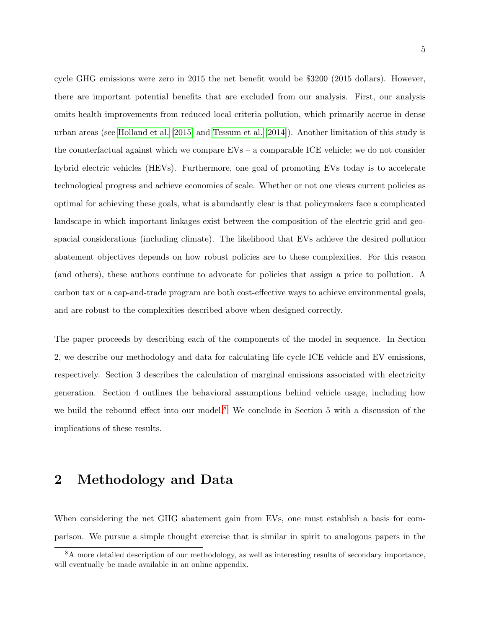cycle GHG emissions were zero in 2015 the net benefit would be \$3200 (2015 dollars). However, there are important potential benefits that are excluded from our analysis. First, our analysis omits health improvements from reduced local criteria pollution, which primarily accrue in dense urban areas (see Holland et al. [2015] and Tessum et al. [2014]). Another limitation of this study is the counterfactual against which we compare EVs – a comparable ICE vehicle; we do not consider hybrid electric vehicles (HEVs). Furthermore, one goal of promoting EVs today is to accelerate technological progress and achieve economies of scale. Whether or not one views current policies as optimal for achieving these goals, what is abundantly clear is that policymakers face a complicated landscape in which important linkages exist between the composition of the electric grid and geospacial considerations (including climate). The likelihood that EVs achieve the desired pollution abatement objectives depends on how robust policies are to these complexities. For this reason (and others), these authors continue to advocate for policies that assign a price to pollution. A carbon tax or a cap-and-trade program are both cost-effective ways to achieve environmental goals, and are robust to the complexities described above when designed correctly.

The paper proceeds by describing each of the components of the model in sequence. In Section 2, we describe our methodology and data for calculating life cycle ICE vehicle and EV emissions, respectively. Section 3 describes the calculation of marginal emissions associated with electricity generation. Section 4 outlines the behavioral assumptions behind vehicle usage, including how we build the rebound effect into our model.<sup>8</sup> We conclude in Section 5 with a discussion of the implications of these results.

## 2 Methodology and Data

When considering the net GHG abatement gain from EVs, one must establish a basis for comparison. We pursue a simple thought exercise that is similar in spirit to analogous papers in the

<sup>&</sup>lt;sup>8</sup>A more detailed description of our methodology, as well as interesting results of secondary importance, will eventually be made available in an online appendix.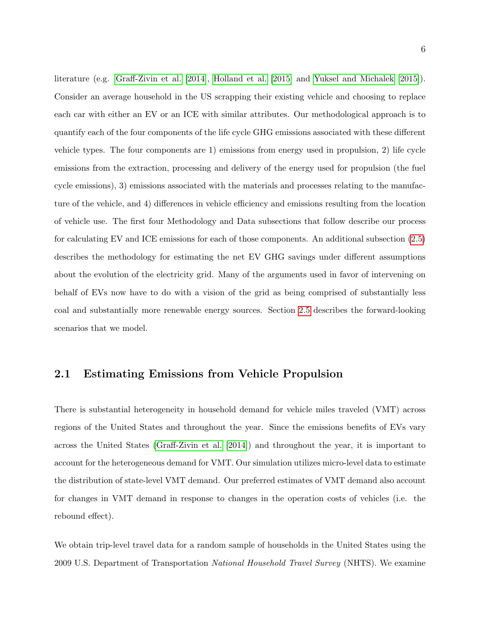literature (e.g. Graff-Zivin et al. [2014], Holland et al. [2015] and Yuksel and Michalek [2015]). Consider an average household in the US scrapping their existing vehicle and choosing to replace each car with either an EV or an ICE with similar attributes. Our methodological approach is to quantify each of the four components of the life cycle GHG emissions associated with these different vehicle types. The four components are 1) emissions from energy used in propulsion, 2) life cycle emissions from the extraction, processing and delivery of the energy used for propulsion (the fuel cycle emissions), 3) emissions associated with the materials and processes relating to the manufacture of the vehicle, and 4) differences in vehicle efficiency and emissions resulting from the location of vehicle use. The first four Methodology and Data subsections that follow describe our process for calculating EV and ICE emissions for each of those components. An additional subsection (2.5) describes the methodology for estimating the net EV GHG savings under different assumptions about the evolution of the electricity grid. Many of the arguments used in favor of intervening on behalf of EVs now have to do with a vision of the grid as being comprised of substantially less coal and substantially more renewable energy sources. Section 2.5 describes the forward-looking scenarios that we model.

#### 2.1 Estimating Emissions from Vehicle Propulsion

There is substantial heterogeneity in household demand for vehicle miles traveled (VMT) across regions of the United States and throughout the year. Since the emissions benefits of EVs vary across the United States (Graff-Zivin et al. [2014]) and throughout the year, it is important to account for the heterogeneous demand for VMT. Our simulation utilizes micro-level data to estimate the distribution of state-level VMT demand. Our preferred estimates of VMT demand also account for changes in VMT demand in response to changes in the operation costs of vehicles (i.e. the rebound effect).

We obtain trip-level travel data for a random sample of households in the United States using the 2009 U.S. Department of Transportation National Household Travel Survey (NHTS). We examine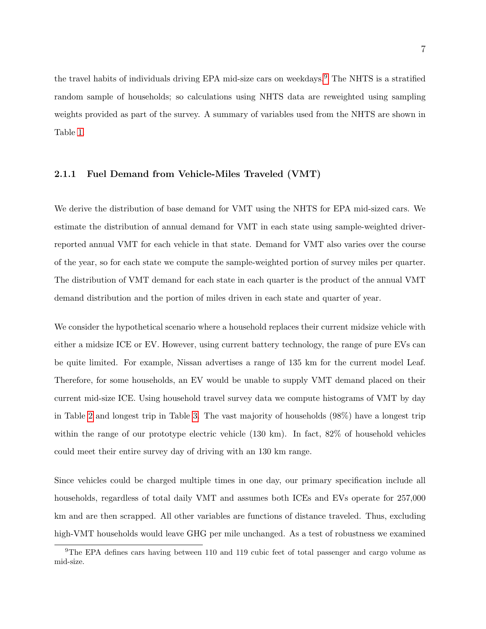the travel habits of individuals driving EPA mid-size cars on weekdays.<sup>9</sup> The NHTS is a stratified random sample of households; so calculations using NHTS data are reweighted using sampling weights provided as part of the survey. A summary of variables used from the NHTS are shown in Table 1.

#### 2.1.1 Fuel Demand from Vehicle-Miles Traveled (VMT)

We derive the distribution of base demand for VMT using the NHTS for EPA mid-sized cars. We estimate the distribution of annual demand for VMT in each state using sample-weighted driverreported annual VMT for each vehicle in that state. Demand for VMT also varies over the course of the year, so for each state we compute the sample-weighted portion of survey miles per quarter. The distribution of VMT demand for each state in each quarter is the product of the annual VMT demand distribution and the portion of miles driven in each state and quarter of year.

We consider the hypothetical scenario where a household replaces their current midsize vehicle with either a midsize ICE or EV. However, using current battery technology, the range of pure EVs can be quite limited. For example, Nissan advertises a range of 135 km for the current model Leaf. Therefore, for some households, an EV would be unable to supply VMT demand placed on their current mid-size ICE. Using household travel survey data we compute histograms of VMT by day in Table 2 and longest trip in Table 3. The vast majority of households (98%) have a longest trip within the range of our prototype electric vehicle (130 km). In fact,  $82\%$  of household vehicles could meet their entire survey day of driving with an 130 km range.

Since vehicles could be charged multiple times in one day, our primary specification include all households, regardless of total daily VMT and assumes both ICEs and EVs operate for 257,000 km and are then scrapped. All other variables are functions of distance traveled. Thus, excluding high-VMT households would leave GHG per mile unchanged. As a test of robustness we examined

<sup>&</sup>lt;sup>9</sup>The EPA defines cars having between 110 and 119 cubic feet of total passenger and cargo volume as mid-size.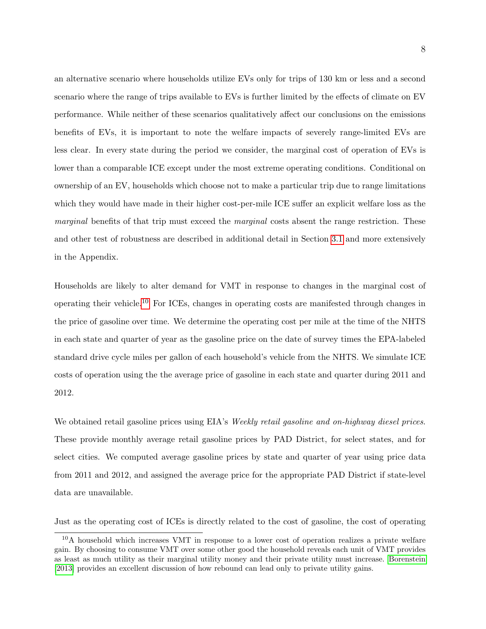an alternative scenario where households utilize EVs only for trips of 130 km or less and a second scenario where the range of trips available to EVs is further limited by the effects of climate on EV performance. While neither of these scenarios qualitatively affect our conclusions on the emissions benefits of EVs, it is important to note the welfare impacts of severely range-limited EVs are less clear. In every state during the period we consider, the marginal cost of operation of EVs is lower than a comparable ICE except under the most extreme operating conditions. Conditional on ownership of an EV, households which choose not to make a particular trip due to range limitations which they would have made in their higher cost-per-mile ICE suffer an explicit welfare loss as the *marginal* benefits of that trip must exceed the *marginal* costs absent the range restriction. These and other test of robustness are described in additional detail in Section 3.1 and more extensively in the Appendix.

Households are likely to alter demand for VMT in response to changes in the marginal cost of operating their vehicle.10 For ICEs, changes in operating costs are manifested through changes in the price of gasoline over time. We determine the operating cost per mile at the time of the NHTS in each state and quarter of year as the gasoline price on the date of survey times the EPA-labeled standard drive cycle miles per gallon of each household's vehicle from the NHTS. We simulate ICE costs of operation using the the average price of gasoline in each state and quarter during 2011 and 2012.

We obtained retail gasoline prices using EIA's Weekly retail gasoline and on-highway diesel prices. These provide monthly average retail gasoline prices by PAD District, for select states, and for select cities. We computed average gasoline prices by state and quarter of year using price data from 2011 and 2012, and assigned the average price for the appropriate PAD District if state-level data are unavailable.

Just as the operating cost of ICEs is directly related to the cost of gasoline, the cost of operating

<sup>&</sup>lt;sup>10</sup>A household which increases VMT in response to a lower cost of operation realizes a private welfare gain. By choosing to consume VMT over some other good the household reveals each unit of VMT provides as least as much utility as their marginal utility money and their private utility must increase. Borenstein [2013] provides an excellent discussion of how rebound can lead only to private utility gains.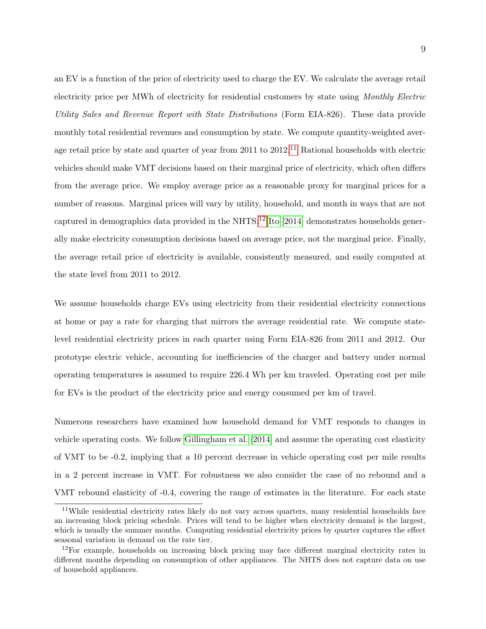an EV is a function of the price of electricity used to charge the EV. We calculate the average retail electricity price per MWh of electricity for residential customers by state using Monthly Electric Utility Sales and Revenue Report with State Distributions (Form EIA-826). These data provide monthly total residential revenues and consumption by state. We compute quantity-weighted average retail price by state and quarter of year from 2011 to 2012.<sup>11</sup> Rational households with electric vehicles should make VMT decisions based on their marginal price of electricity, which often differs from the average price. We employ average price as a reasonable proxy for marginal prices for a number of reasons. Marginal prices will vary by utility, household, and month in ways that are not captured in demographics data provided in the NHTS.<sup>12</sup> Ito [2014] demonstrates households generally make electricity consumption decisions based on average price, not the marginal price. Finally, the average retail price of electricity is available, consistently measured, and easily computed at the state level from 2011 to 2012.

We assume households charge EVs using electricity from their residential electricity connections at home or pay a rate for charging that mirrors the average residential rate. We compute statelevel residential electricity prices in each quarter using Form EIA-826 from 2011 and 2012. Our prototype electric vehicle, accounting for inefficiencies of the charger and battery under normal operating temperatures is assumed to require 226.4 Wh per km traveled. Operating cost per mile for EVs is the product of the electricity price and energy consumed per km of travel.

Numerous researchers have examined how household demand for VMT responds to changes in vehicle operating costs. We follow Gillingham et al. [2014] and assume the operating cost elasticity of VMT to be -0.2, implying that a 10 percent decrease in vehicle operating cost per mile results in a 2 percent increase in VMT. For robustness we also consider the case of no rebound and a VMT rebound elasticity of -0.4, covering the range of estimates in the literature. For each state

<sup>&</sup>lt;sup>11</sup>While residential electricity rates likely do not vary across quarters, many residential households face an increasing block pricing schedule. Prices will tend to be higher when electricity demand is the largest, which is usually the summer months. Computing residential electricity prices by quarter captures the effect seasonal variation in demand on the rate tier.

 $12$ For example, households on increasing block pricing may face different marginal electricity rates in different months depending on consumption of other appliances. The NHTS does not capture data on use of household appliances.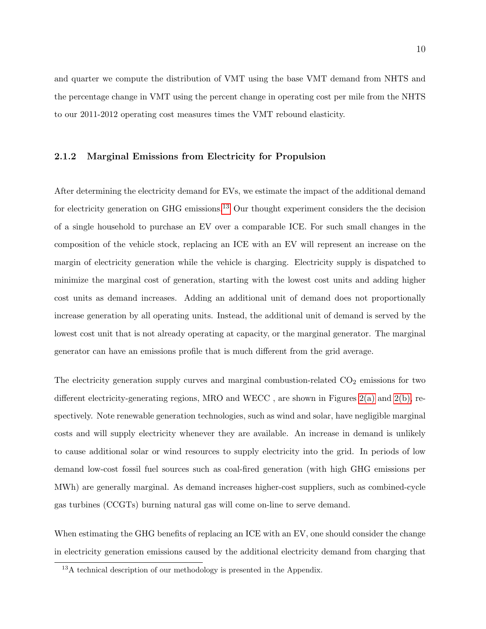and quarter we compute the distribution of VMT using the base VMT demand from NHTS and the percentage change in VMT using the percent change in operating cost per mile from the NHTS to our 2011-2012 operating cost measures times the VMT rebound elasticity.

#### 2.1.2 Marginal Emissions from Electricity for Propulsion

After determining the electricity demand for EVs, we estimate the impact of the additional demand for electricity generation on GHG emissions.<sup>13</sup> Our thought experiment considers the the decision of a single household to purchase an EV over a comparable ICE. For such small changes in the composition of the vehicle stock, replacing an ICE with an EV will represent an increase on the margin of electricity generation while the vehicle is charging. Electricity supply is dispatched to minimize the marginal cost of generation, starting with the lowest cost units and adding higher cost units as demand increases. Adding an additional unit of demand does not proportionally increase generation by all operating units. Instead, the additional unit of demand is served by the lowest cost unit that is not already operating at capacity, or the marginal generator. The marginal generator can have an emissions profile that is much different from the grid average.

The electricity generation supply curves and marginal combustion-related  $CO<sub>2</sub>$  emissions for two different electricity-generating regions, MRO and WECC , are shown in Figures 2(a) and 2(b), respectively. Note renewable generation technologies, such as wind and solar, have negligible marginal costs and will supply electricity whenever they are available. An increase in demand is unlikely to cause additional solar or wind resources to supply electricity into the grid. In periods of low demand low-cost fossil fuel sources such as coal-fired generation (with high GHG emissions per MWh) are generally marginal. As demand increases higher-cost suppliers, such as combined-cycle gas turbines (CCGTs) burning natural gas will come on-line to serve demand.

When estimating the GHG benefits of replacing an ICE with an EV, one should consider the change in electricity generation emissions caused by the additional electricity demand from charging that

<sup>&</sup>lt;sup>13</sup>A technical description of our methodology is presented in the Appendix.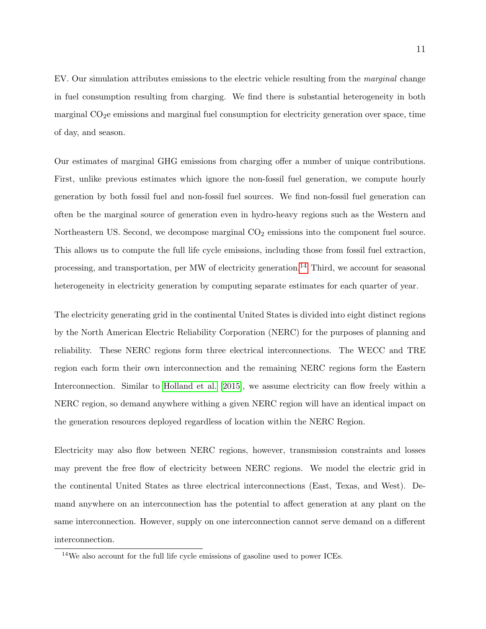EV. Our simulation attributes emissions to the electric vehicle resulting from the marginal change in fuel consumption resulting from charging. We find there is substantial heterogeneity in both marginal  $CO<sub>2</sub>e$  emissions and marginal fuel consumption for electricity generation over space, time of day, and season.

Our estimates of marginal GHG emissions from charging offer a number of unique contributions. First, unlike previous estimates which ignore the non-fossil fuel generation, we compute hourly generation by both fossil fuel and non-fossil fuel sources. We find non-fossil fuel generation can often be the marginal source of generation even in hydro-heavy regions such as the Western and Northeastern US. Second, we decompose marginal  $CO<sub>2</sub>$  emissions into the component fuel source. This allows us to compute the full life cycle emissions, including those from fossil fuel extraction, processing, and transportation, per MW of electricity generation.<sup>14</sup> Third, we account for seasonal heterogeneity in electricity generation by computing separate estimates for each quarter of year.

The electricity generating grid in the continental United States is divided into eight distinct regions by the North American Electric Reliability Corporation (NERC) for the purposes of planning and reliability. These NERC regions form three electrical interconnections. The WECC and TRE region each form their own interconnection and the remaining NERC regions form the Eastern Interconnection. Similar to Holland et al. [2015], we assume electricity can flow freely within a NERC region, so demand anywhere withing a given NERC region will have an identical impact on the generation resources deployed regardless of location within the NERC Region.

Electricity may also flow between NERC regions, however, transmission constraints and losses may prevent the free flow of electricity between NERC regions. We model the electric grid in the continental United States as three electrical interconnections (East, Texas, and West). Demand anywhere on an interconnection has the potential to affect generation at any plant on the same interconnection. However, supply on one interconnection cannot serve demand on a different interconnection.

<sup>14</sup>We also account for the full life cycle emissions of gasoline used to power ICEs.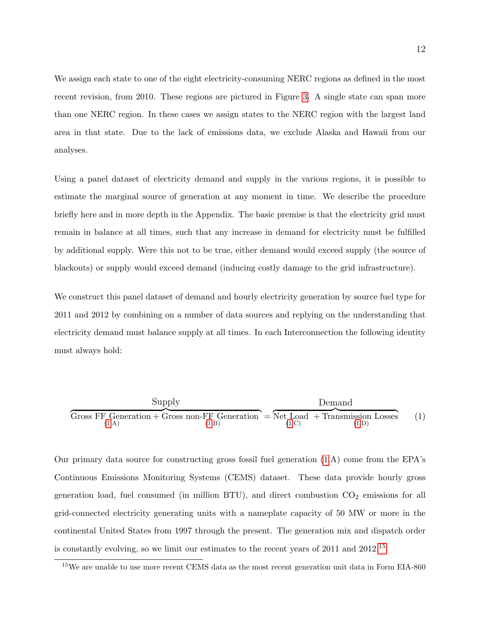We assign each state to one of the eight electricity-consuming NERC regions as defined in the most recent revision, from 2010. These regions are pictured in Figure 3. A single state can span more than one NERC region. In these cases we assign states to the NERC region with the largest land area in that state. Due to the lack of emissions data, we exclude Alaska and Hawaii from our analyses.

Using a panel dataset of electricity demand and supply in the various regions, it is possible to estimate the marginal source of generation at any moment in time. We describe the procedure briefly here and in more depth in the Appendix. The basic premise is that the electricity grid must remain in balance at all times, such that any increase in demand for electricity must be fulfilled by additional supply. Were this not to be true, either demand would exceed supply (the source of blackouts) or supply would exceed demand (inducing costly damage to the grid infrastructure).

We construct this panel dataset of demand and hourly electricity generation by source fuel type for 2011 and 2012 by combining on a number of data sources and replying on the understanding that electricity demand must balance supply at all times. In each Interconnection the following identity must always hold:

| Supply                                        | Demand                                                                    |     |
|-----------------------------------------------|---------------------------------------------------------------------------|-----|
| Gross FF Generation + Gross non-FF Generation | = $\overbrace{\text{Net Load + Transmission Losses}}^{\text{Deneration}}$ | (1) |

Our primary data source for constructing gross fossil fuel generation (1.A) come from the EPA's Continuous Emissions Monitoring Systems (CEMS) dataset. These data provide hourly gross generation load, fuel consumed (in million BTU), and direct combustion  $CO<sub>2</sub>$  emissions for all grid-connected electricity generating units with a nameplate capacity of 50 MW or more in the continental United States from 1997 through the present. The generation mix and dispatch order is constantly evolving, so we limit our estimates to the recent years of 2011 and 2012.15

<sup>&</sup>lt;sup>15</sup>We are unable to use more recent CEMS data as the most recent generation unit data in Form EIA-860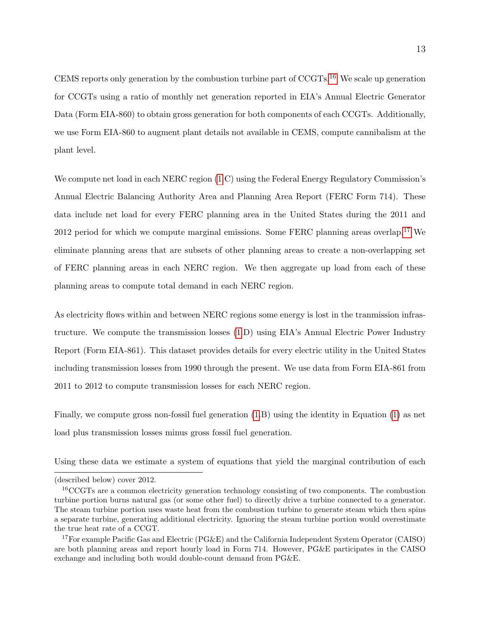CEMS reports only generation by the combustion turbine part of CCGTs.16 We scale up generation for CCGTs using a ratio of monthly net generation reported in EIA's Annual Electric Generator Data (Form EIA-860) to obtain gross generation for both components of each CCGTs. Additionally, we use Form EIA-860 to augment plant details not available in CEMS, compute cannibalism at the plant level.

We compute net load in each NERC region (1.C) using the Federal Energy Regulatory Commission's Annual Electric Balancing Authority Area and Planning Area Report (FERC Form 714). These data include net load for every FERC planning area in the United States during the 2011 and  $2012$  period for which we compute marginal emissions. Some FERC planning areas overlap, <sup>17</sup> We eliminate planning areas that are subsets of other planning areas to create a non-overlapping set of FERC planning areas in each NERC region. We then aggregate up load from each of these planning areas to compute total demand in each NERC region.

As electricity flows within and between NERC regions some energy is lost in the tranmission infrastructure. We compute the transmission losses (1.D) using EIA's Annual Electric Power Industry Report (Form EIA-861). This dataset provides details for every electric utility in the United States including transmission losses from 1990 through the present. We use data from Form EIA-861 from 2011 to 2012 to compute transmission losses for each NERC region.

Finally, we compute gross non-fossil fuel generation (1.B) using the identity in Equation (1) as net load plus transmission losses minus gross fossil fuel generation.

Using these data we estimate a system of equations that yield the marginal contribution of each

<sup>(</sup>described below) cover 2012.

<sup>16</sup>CCGTs are a common electricity generation technology consisting of two components. The combustion turbine portion burns natural gas (or some other fuel) to directly drive a turbine connected to a generator. The steam turbine portion uses waste heat from the combustion turbine to generate steam which then spins a separate turbine, generating additional electricity. Ignoring the steam turbine portion would overestimate the true heat rate of a CCGT.

<sup>&</sup>lt;sup>17</sup>For example Pacific Gas and Electric (PG&E) and the California Independent System Operator (CAISO) are both planning areas and report hourly load in Form 714. However, PG&E participates in the CAISO exchange and including both would double-count demand from PG&E.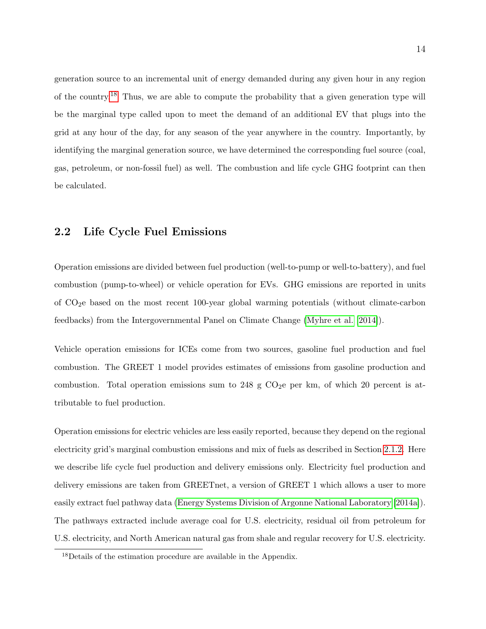generation source to an incremental unit of energy demanded during any given hour in any region of the country.18 Thus, we are able to compute the probability that a given generation type will be the marginal type called upon to meet the demand of an additional EV that plugs into the grid at any hour of the day, for any season of the year anywhere in the country. Importantly, by identifying the marginal generation source, we have determined the corresponding fuel source (coal, gas, petroleum, or non-fossil fuel) as well. The combustion and life cycle GHG footprint can then be calculated.

### 2.2 Life Cycle Fuel Emissions

Operation emissions are divided between fuel production (well-to-pump or well-to-battery), and fuel combustion (pump-to-wheel) or vehicle operation for EVs. GHG emissions are reported in units of CO2e based on the most recent 100-year global warming potentials (without climate-carbon feedbacks) from the Intergovernmental Panel on Climate Change (Myhre et al. [2014]).

Vehicle operation emissions for ICEs come from two sources, gasoline fuel production and fuel combustion. The GREET 1 model provides estimates of emissions from gasoline production and combustion. Total operation emissions sum to 248 g  $CO<sub>2</sub>$ e per km, of which 20 percent is attributable to fuel production.

Operation emissions for electric vehicles are less easily reported, because they depend on the regional electricity grid's marginal combustion emissions and mix of fuels as described in Section 2.1.2. Here we describe life cycle fuel production and delivery emissions only. Electricity fuel production and delivery emissions are taken from GREETnet, a version of GREET 1 which allows a user to more easily extract fuel pathway data (Energy Systems Division of Argonne National Laboratory [2014a]). The pathways extracted include average coal for U.S. electricity, residual oil from petroleum for U.S. electricity, and North American natural gas from shale and regular recovery for U.S. electricity.

<sup>18</sup>Details of the estimation procedure are available in the Appendix.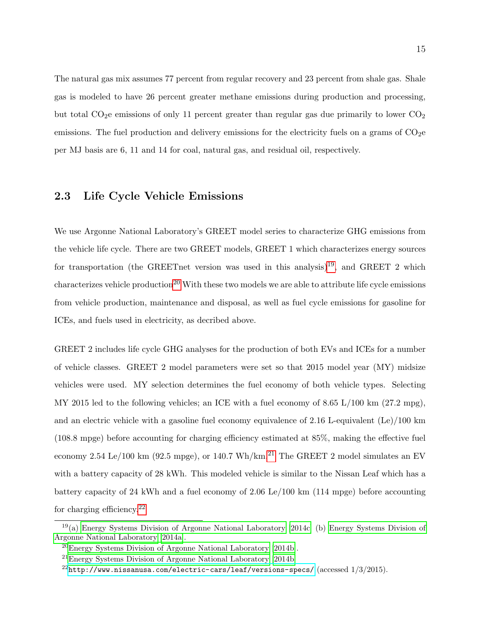The natural gas mix assumes 77 percent from regular recovery and 23 percent from shale gas. Shale gas is modeled to have 26 percent greater methane emissions during production and processing, but total  $CO<sub>2</sub>e$  emissions of only 11 percent greater than regular gas due primarily to lower  $CO<sub>2</sub>$ emissions. The fuel production and delivery emissions for the electricity fuels on a grams of  $CO<sub>2</sub>$ e per MJ basis are 6, 11 and 14 for coal, natural gas, and residual oil, respectively.

### 2.3 Life Cycle Vehicle Emissions

We use Argonne National Laboratory's GREET model series to characterize GHG emissions from the vehicle life cycle. There are two GREET models, GREET 1 which characterizes energy sources for transportation (the GREETnet version was used in this analysis)<sup>19</sup>, and GREET 2 which  $\alpha$  characterizes vehicle production<sup>20</sup> With these two models we are able to attribute life cycle emissions from vehicle production, maintenance and disposal, as well as fuel cycle emissions for gasoline for ICEs, and fuels used in electricity, as decribed above.

GREET 2 includes life cycle GHG analyses for the production of both EVs and ICEs for a number of vehicle classes. GREET 2 model parameters were set so that 2015 model year (MY) midsize vehicles were used. MY selection determines the fuel economy of both vehicle types. Selecting MY 2015 led to the following vehicles; an ICE with a fuel economy of 8.65  $L/100 \text{ km}$  (27.2 mpg), and an electric vehicle with a gasoline fuel economy equivalence of 2.16 L-equivalent (Le)/100 km (108.8 mpge) before accounting for charging efficiency estimated at 85%, making the effective fuel economy 2.54 Le/100 km (92.5 mpge), or 140.7 Wh/km.<sup>21</sup> The GREET 2 model simulates an EV with a battery capacity of 28 kWh. This modeled vehicle is similar to the Nissan Leaf which has a battery capacity of 24 kWh and a fuel economy of 2.06 Le/100 km (114 mpge) before accounting for charging efficiency.22

 $19(a)$  Energy Systems Division of Argonne National Laboratory [2014c] (b) Energy Systems Division of Argonne National Laboratory [2014a].

<sup>20</sup>Energy Systems Division of Argonne National Laboratory [2014b].

<sup>21</sup>Energy Systems Division of Argonne National Laboratory [2014b]

 $^{22}$ <http://www.nissanusa.com/electric-cars/leaf/versions-specs/> (accessed  $1/3/2015$ ).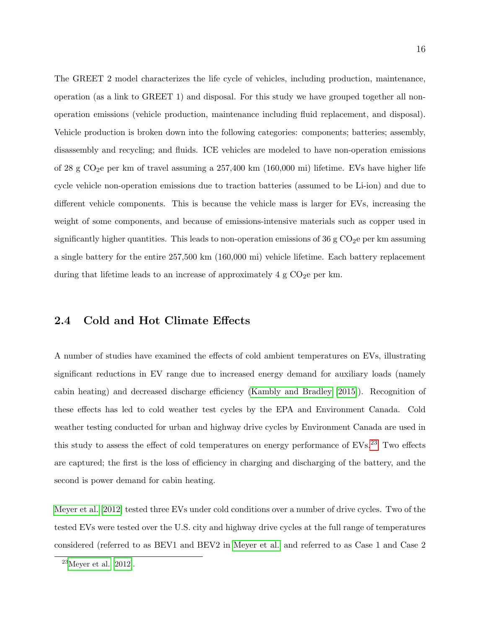The GREET 2 model characterizes the life cycle of vehicles, including production, maintenance, operation (as a link to GREET 1) and disposal. For this study we have grouped together all nonoperation emissions (vehicle production, maintenance including fluid replacement, and disposal). Vehicle production is broken down into the following categories: components; batteries; assembly, disassembly and recycling; and fluids. ICE vehicles are modeled to have non-operation emissions of 28 g  $CO<sub>2</sub>e$  per km of travel assuming a 257,400 km (160,000 mi) lifetime. EVs have higher life cycle vehicle non-operation emissions due to traction batteries (assumed to be Li-ion) and due to different vehicle components. This is because the vehicle mass is larger for EVs, increasing the weight of some components, and because of emissions-intensive materials such as copper used in significantly higher quantities. This leads to non-operation emissions of 36 g  $CO<sub>2</sub>$ e per km assuming a single battery for the entire 257,500 km (160,000 mi) vehicle lifetime. Each battery replacement during that lifetime leads to an increase of approximately  $4 \text{ g } CO_2$ e per km.

## 2.4 Cold and Hot Climate Effects

A number of studies have examined the effects of cold ambient temperatures on EVs, illustrating significant reductions in EV range due to increased energy demand for auxiliary loads (namely cabin heating) and decreased discharge efficiency (Kambly and Bradley [2015]). Recognition of these effects has led to cold weather test cycles by the EPA and Environment Canada. Cold weather testing conducted for urban and highway drive cycles by Environment Canada are used in this study to assess the effect of cold temperatures on energy performance of  $EVs<sup>23</sup>$  Two effects are captured; the first is the loss of efficiency in charging and discharging of the battery, and the second is power demand for cabin heating.

Meyer et al. [2012] tested three EVs under cold conditions over a number of drive cycles. Two of the tested EVs were tested over the U.S. city and highway drive cycles at the full range of temperatures considered (referred to as BEV1 and BEV2 in Meyer et al. and referred to as Case 1 and Case 2

<sup>23</sup>Meyer et al. [2012].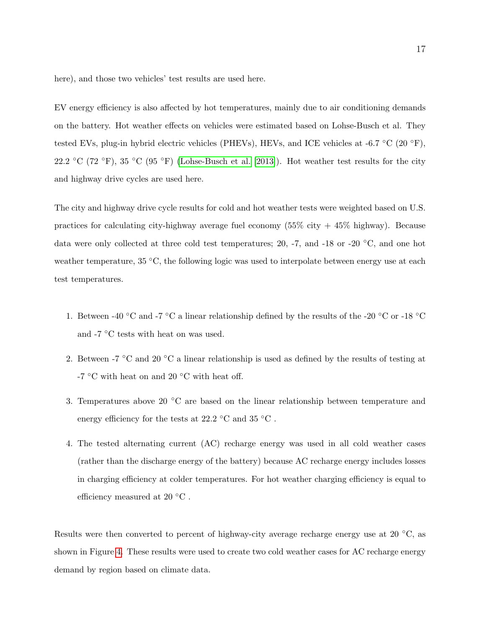here), and those two vehicles' test results are used here.

EV energy efficiency is also affected by hot temperatures, mainly due to air conditioning demands on the battery. Hot weather effects on vehicles were estimated based on Lohse-Busch et al. They tested EVs, plug-in hybrid electric vehicles (PHEVs), HEVs, and ICE vehicles at -6.7  $°C$  (20  $\degree$ F), 22.2 °C (72 °F), 35 °C (95 °F) (Lohse-Busch et al. [2013]). Hot weather test results for the city and highway drive cycles are used here.

The city and highway drive cycle results for cold and hot weather tests were weighted based on U.S. practices for calculating city-highway average fuel economy  $(55\%$  city  $+ 45\%$  highway). Because data were only collected at three cold test temperatures; 20, -7, and -18 or -20 ◦C, and one hot weather temperature, 35 °C, the following logic was used to interpolate between energy use at each test temperatures.

- 1. Between -40 °C and -7 °C a linear relationship defined by the results of the -20 °C or -18 °C and -7  $\mathrm{^{\circ}C}$  tests with heat on was used.
- 2. Between  $-7$  °C and 20 °C a linear relationship is used as defined by the results of testing at -7  $^{\circ}\mathrm{C}$  with heat on and 20  $^{\circ}\mathrm{C}$  with heat off.
- 3. Temperatures above 20 ◦C are based on the linear relationship between temperature and energy efficiency for the tests at 22.2  $\degree$ C and 35  $\degree$ C.
- 4. The tested alternating current (AC) recharge energy was used in all cold weather cases (rather than the discharge energy of the battery) because AC recharge energy includes losses in charging efficiency at colder temperatures. For hot weather charging efficiency is equal to efficiency measured at 20 $°C$ .

Results were then converted to percent of highway-city average recharge energy use at 20 °C, as shown in Figure 4. These results were used to create two cold weather cases for AC recharge energy demand by region based on climate data.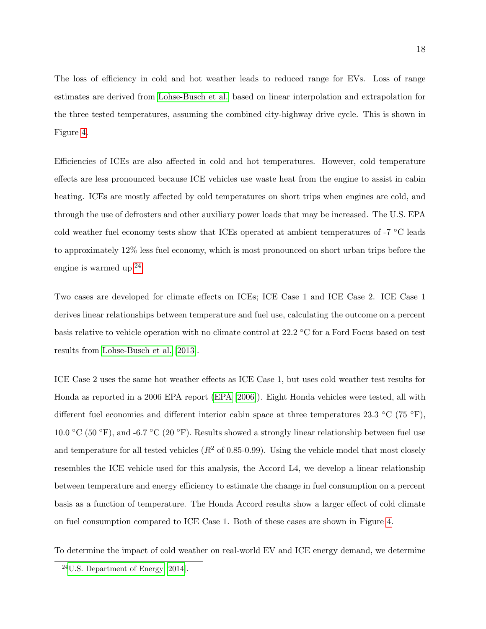The loss of efficiency in cold and hot weather leads to reduced range for EVs. Loss of range estimates are derived from Lohse-Busch et al. based on linear interpolation and extrapolation for the three tested temperatures, assuming the combined city-highway drive cycle. This is shown in Figure 4.

Efficiencies of ICEs are also affected in cold and hot temperatures. However, cold temperature effects are less pronounced because ICE vehicles use waste heat from the engine to assist in cabin heating. ICEs are mostly affected by cold temperatures on short trips when engines are cold, and through the use of defrosters and other auxiliary power loads that may be increased. The U.S. EPA cold weather fuel economy tests show that ICEs operated at ambient temperatures of -7 ◦C leads to approximately 12% less fuel economy, which is most pronounced on short urban trips before the engine is warmed up.24

Two cases are developed for climate effects on ICEs; ICE Case 1 and ICE Case 2. ICE Case 1 derives linear relationships between temperature and fuel use, calculating the outcome on a percent basis relative to vehicle operation with no climate control at 22.2 ◦C for a Ford Focus based on test results from Lohse-Busch et al. [2013].

ICE Case 2 uses the same hot weather effects as ICE Case 1, but uses cold weather test results for Honda as reported in a 2006 EPA report (EPA [2006]). Eight Honda vehicles were tested, all with different fuel economies and different interior cabin space at three temperatures 23.3 °C (75 °F), 10.0 °C (50 °F), and -6.7 °C (20 °F). Results showed a strongly linear relationship between fuel use and temperature for all tested vehicles  $(R^2 \text{ of } 0.85{\text{-}}0.99)$ . Using the vehicle model that most closely resembles the ICE vehicle used for this analysis, the Accord L4, we develop a linear relationship between temperature and energy efficiency to estimate the change in fuel consumption on a percent basis as a function of temperature. The Honda Accord results show a larger effect of cold climate on fuel consumption compared to ICE Case 1. Both of these cases are shown in Figure 4.

To determine the impact of cold weather on real-world EV and ICE energy demand, we determine

 $24$ U.S. Department of Energy [2014].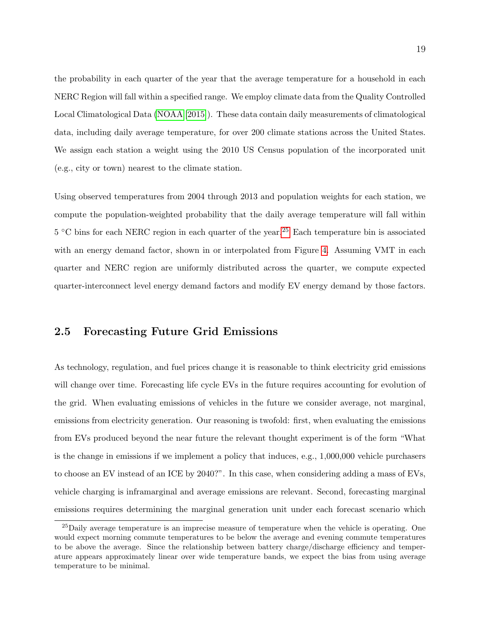the probability in each quarter of the year that the average temperature for a household in each NERC Region will fall within a specified range. We employ climate data from the Quality Controlled Local Climatological Data (NOAA [2015]). These data contain daily measurements of climatological data, including daily average temperature, for over 200 climate stations across the United States. We assign each station a weight using the 2010 US Census population of the incorporated unit (e.g., city or town) nearest to the climate station.

Using observed temperatures from 2004 through 2013 and population weights for each station, we compute the population-weighted probability that the daily average temperature will fall within 5 °C bins for each NERC region in each quarter of the year.<sup>25</sup> Each temperature bin is associated with an energy demand factor, shown in or interpolated from Figure 4. Assuming VMT in each quarter and NERC region are uniformly distributed across the quarter, we compute expected quarter-interconnect level energy demand factors and modify EV energy demand by those factors.

#### 2.5 Forecasting Future Grid Emissions

As technology, regulation, and fuel prices change it is reasonable to think electricity grid emissions will change over time. Forecasting life cycle EVs in the future requires accounting for evolution of the grid. When evaluating emissions of vehicles in the future we consider average, not marginal, emissions from electricity generation. Our reasoning is twofold: first, when evaluating the emissions from EVs produced beyond the near future the relevant thought experiment is of the form "What is the change in emissions if we implement a policy that induces, e.g., 1,000,000 vehicle purchasers to choose an EV instead of an ICE by 2040?". In this case, when considering adding a mass of EVs, vehicle charging is inframarginal and average emissions are relevant. Second, forecasting marginal emissions requires determining the marginal generation unit under each forecast scenario which

<sup>25</sup>Daily average temperature is an imprecise measure of temperature when the vehicle is operating. One would expect morning commute temperatures to be below the average and evening commute temperatures to be above the average. Since the relationship between battery charge/discharge efficiency and temperature appears approximately linear over wide temperature bands, we expect the bias from using average temperature to be minimal.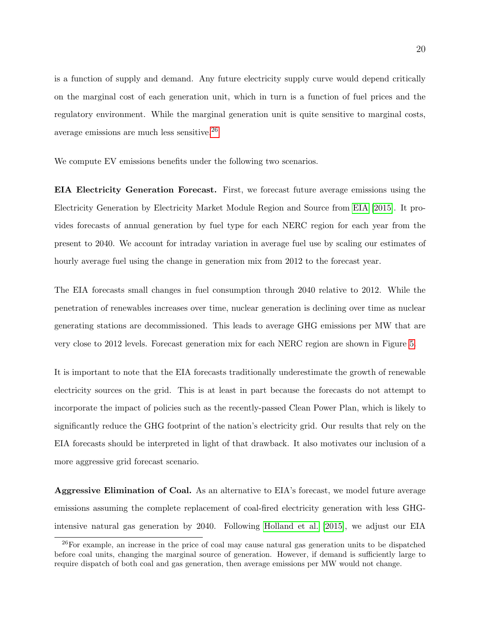is a function of supply and demand. Any future electricity supply curve would depend critically on the marginal cost of each generation unit, which in turn is a function of fuel prices and the regulatory environment. While the marginal generation unit is quite sensitive to marginal costs, average emissions are much less sensitive.26

We compute EV emissions benefits under the following two scenarios.

EIA Electricity Generation Forecast. First, we forecast future average emissions using the Electricity Generation by Electricity Market Module Region and Source from EIA [2015]. It provides forecasts of annual generation by fuel type for each NERC region for each year from the present to 2040. We account for intraday variation in average fuel use by scaling our estimates of hourly average fuel using the change in generation mix from 2012 to the forecast year.

The EIA forecasts small changes in fuel consumption through 2040 relative to 2012. While the penetration of renewables increases over time, nuclear generation is declining over time as nuclear generating stations are decommissioned. This leads to average GHG emissions per MW that are very close to 2012 levels. Forecast generation mix for each NERC region are shown in Figure 5.

It is important to note that the EIA forecasts traditionally underestimate the growth of renewable electricity sources on the grid. This is at least in part because the forecasts do not attempt to incorporate the impact of policies such as the recently-passed Clean Power Plan, which is likely to significantly reduce the GHG footprint of the nation's electricity grid. Our results that rely on the EIA forecasts should be interpreted in light of that drawback. It also motivates our inclusion of a more aggressive grid forecast scenario.

Aggressive Elimination of Coal. As an alternative to EIA's forecast, we model future average emissions assuming the complete replacement of coal-fired electricity generation with less GHGintensive natural gas generation by 2040. Following Holland et al. [2015], we adjust our EIA

<sup>26</sup>For example, an increase in the price of coal may cause natural gas generation units to be dispatched before coal units, changing the marginal source of generation. However, if demand is sufficiently large to require dispatch of both coal and gas generation, then average emissions per MW would not change.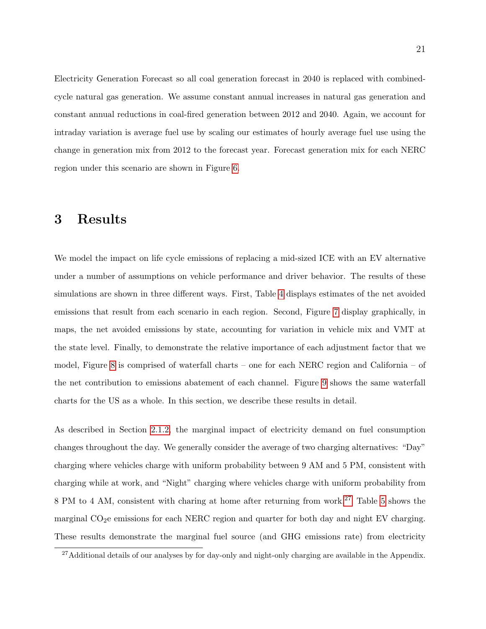Electricity Generation Forecast so all coal generation forecast in 2040 is replaced with combinedcycle natural gas generation. We assume constant annual increases in natural gas generation and constant annual reductions in coal-fired generation between 2012 and 2040. Again, we account for intraday variation is average fuel use by scaling our estimates of hourly average fuel use using the change in generation mix from 2012 to the forecast year. Forecast generation mix for each NERC region under this scenario are shown in Figure 6.

## 3 Results

We model the impact on life cycle emissions of replacing a mid-sized ICE with an EV alternative under a number of assumptions on vehicle performance and driver behavior. The results of these simulations are shown in three different ways. First, Table 4 displays estimates of the net avoided emissions that result from each scenario in each region. Second, Figure 7 display graphically, in maps, the net avoided emissions by state, accounting for variation in vehicle mix and VMT at the state level. Finally, to demonstrate the relative importance of each adjustment factor that we model, Figure 8 is comprised of waterfall charts – one for each NERC region and California – of the net contribution to emissions abatement of each channel. Figure 9 shows the same waterfall charts for the US as a whole. In this section, we describe these results in detail.

As described in Section 2.1.2, the marginal impact of electricity demand on fuel consumption changes throughout the day. We generally consider the average of two charging alternatives: "Day" charging where vehicles charge with uniform probability between 9 AM and 5 PM, consistent with charging while at work, and "Night" charging where vehicles charge with uniform probability from 8 PM to 4 AM, consistent with charing at home after returning from work.27 Table 5 shows the marginal CO<sub>2</sub>e emissions for each NERC region and quarter for both day and night EV charging. These results demonstrate the marginal fuel source (and GHG emissions rate) from electricity

<sup>&</sup>lt;sup>27</sup>Additional details of our analyses by for day-only and night-only charging are available in the Appendix.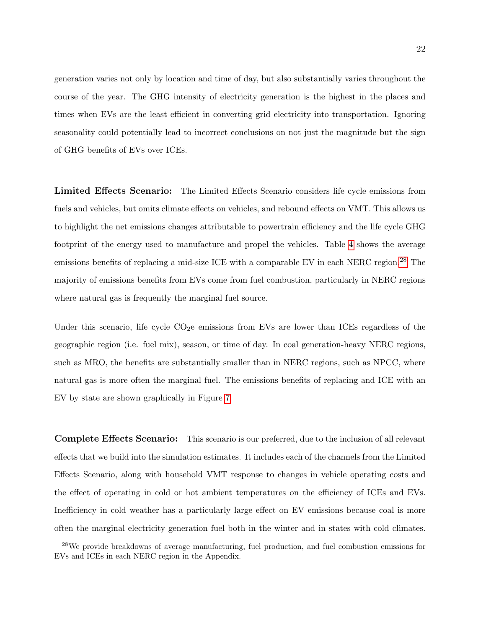generation varies not only by location and time of day, but also substantially varies throughout the course of the year. The GHG intensity of electricity generation is the highest in the places and times when EVs are the least efficient in converting grid electricity into transportation. Ignoring seasonality could potentially lead to incorrect conclusions on not just the magnitude but the sign of GHG benefits of EVs over ICEs.

Limited Effects Scenario: The Limited Effects Scenario considers life cycle emissions from fuels and vehicles, but omits climate effects on vehicles, and rebound effects on VMT. This allows us to highlight the net emissions changes attributable to powertrain efficiency and the life cycle GHG footprint of the energy used to manufacture and propel the vehicles. Table 4 shows the average emissions benefits of replacing a mid-size ICE with a comparable EV in each NERC region.<sup>28</sup> The majority of emissions benefits from EVs come from fuel combustion, particularly in NERC regions where natural gas is frequently the marginal fuel source.

Under this scenario, life cycle  $CO<sub>2</sub>e$  emissions from EVs are lower than ICEs regardless of the geographic region (i.e. fuel mix), season, or time of day. In coal generation-heavy NERC regions, such as MRO, the benefits are substantially smaller than in NERC regions, such as NPCC, where natural gas is more often the marginal fuel. The emissions benefits of replacing and ICE with an EV by state are shown graphically in Figure 7.

Complete Effects Scenario: This scenario is our preferred, due to the inclusion of all relevant effects that we build into the simulation estimates. It includes each of the channels from the Limited Effects Scenario, along with household VMT response to changes in vehicle operating costs and the effect of operating in cold or hot ambient temperatures on the efficiency of ICEs and EVs. Inefficiency in cold weather has a particularly large effect on EV emissions because coal is more often the marginal electricity generation fuel both in the winter and in states with cold climates.

<sup>28</sup>We provide breakdowns of average manufacturing, fuel production, and fuel combustion emissions for EVs and ICEs in each NERC region in the Appendix.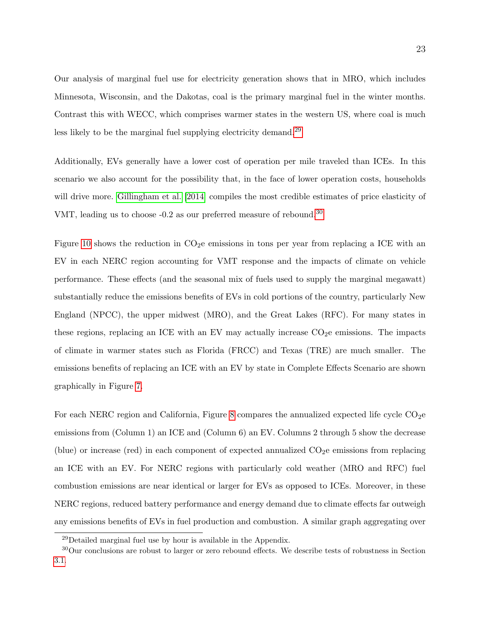Our analysis of marginal fuel use for electricity generation shows that in MRO, which includes Minnesota, Wisconsin, and the Dakotas, coal is the primary marginal fuel in the winter months. Contrast this with WECC, which comprises warmer states in the western US, where coal is much less likely to be the marginal fuel supplying electricity demand.<sup>29</sup>

Additionally, EVs generally have a lower cost of operation per mile traveled than ICEs. In this scenario we also account for the possibility that, in the face of lower operation costs, households will drive more. Gillingham et al. [2014] compiles the most credible estimates of price elasticity of VMT, leading us to choose -0.2 as our preferred measure of rebound.<sup>30</sup>

Figure 10 shows the reduction in  $CO<sub>2</sub>e$  emissions in tons per year from replacing a ICE with an EV in each NERC region accounting for VMT response and the impacts of climate on vehicle performance. These effects (and the seasonal mix of fuels used to supply the marginal megawatt) substantially reduce the emissions benefits of EVs in cold portions of the country, particularly New England (NPCC), the upper midwest (MRO), and the Great Lakes (RFC). For many states in these regions, replacing an ICE with an EV may actually increase  $CO<sub>2</sub>e$  emissions. The impacts of climate in warmer states such as Florida (FRCC) and Texas (TRE) are much smaller. The emissions benefits of replacing an ICE with an EV by state in Complete Effects Scenario are shown graphically in Figure 7.

For each NERC region and California, Figure 8 compares the annualized expected life cycle  $CO<sub>2</sub>$ e emissions from (Column 1) an ICE and (Column 6) an EV. Columns 2 through 5 show the decrease (blue) or increase (red) in each component of expected annualized  $CO<sub>2</sub>e$  emissions from replacing an ICE with an EV. For NERC regions with particularly cold weather (MRO and RFC) fuel combustion emissions are near identical or larger for EVs as opposed to ICEs. Moreover, in these NERC regions, reduced battery performance and energy demand due to climate effects far outweigh any emissions benefits of EVs in fuel production and combustion. A similar graph aggregating over

<sup>29</sup>Detailed marginal fuel use by hour is available in the Appendix.

<sup>30</sup>Our conclusions are robust to larger or zero rebound effects. We describe tests of robustness in Section 3.1.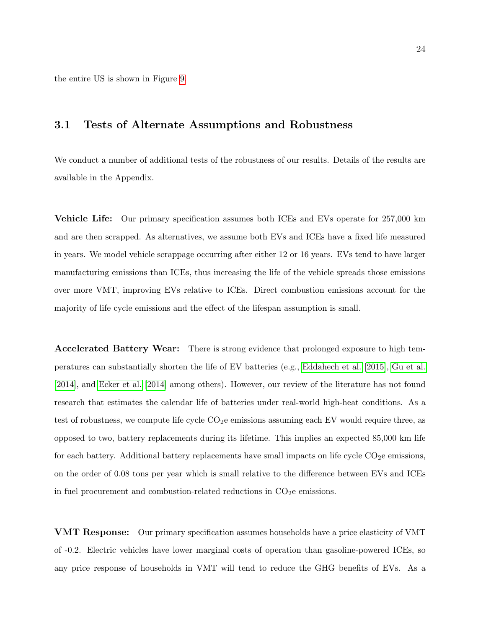the entire US is shown in Figure 9.

## 3.1 Tests of Alternate Assumptions and Robustness

We conduct a number of additional tests of the robustness of our results. Details of the results are available in the Appendix.

Vehicle Life: Our primary specification assumes both ICEs and EVs operate for 257,000 km and are then scrapped. As alternatives, we assume both EVs and ICEs have a fixed life measured in years. We model vehicle scrappage occurring after either 12 or 16 years. EVs tend to have larger manufacturing emissions than ICEs, thus increasing the life of the vehicle spreads those emissions over more VMT, improving EVs relative to ICEs. Direct combustion emissions account for the majority of life cycle emissions and the effect of the lifespan assumption is small.

Accelerated Battery Wear: There is strong evidence that prolonged exposure to high temperatures can substantially shorten the life of EV batteries (e.g., Eddahech et al. [2015], Gu et al. [2014], and Ecker et al. [2014] among others). However, our review of the literature has not found research that estimates the calendar life of batteries under real-world high-heat conditions. As a test of robustness, we compute life cycle  $CO<sub>2</sub>e$  emissions assuming each EV would require three, as opposed to two, battery replacements during its lifetime. This implies an expected 85,000 km life for each battery. Additional battery replacements have small impacts on life cycle  $CO<sub>2</sub>e$  emissions, on the order of 0.08 tons per year which is small relative to the difference between EVs and ICEs in fuel procurement and combustion-related reductions in  $CO<sub>2</sub>e$  emissions.

VMT Response: Our primary specification assumes households have a price elasticity of VMT of -0.2. Electric vehicles have lower marginal costs of operation than gasoline-powered ICEs, so any price response of households in VMT will tend to reduce the GHG benefits of EVs. As a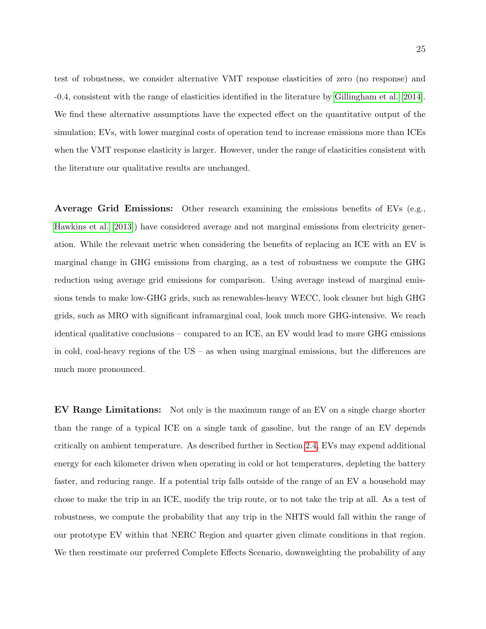test of robustness, we consider alternative VMT response elasticities of zero (no response) and -0.4, consistent with the range of elasticities identified in the literature by Gillingham et al. [2014]. We find these alternative assumptions have the expected effect on the quantitative output of the simulation; EVs, with lower marginal costs of operation tend to increase emissions more than ICEs when the VMT response elasticity is larger. However, under the range of elasticities consistent with the literature our qualitative results are unchanged.

Average Grid Emissions: Other research examining the emissions benefits of EVs (e.g., Hawkins et al. [2013]) have considered average and not marginal emissions from electricity generation. While the relevant metric when considering the benefits of replacing an ICE with an EV is marginal change in GHG emissions from charging, as a test of robustness we compute the GHG reduction using average grid emissions for comparison. Using average instead of marginal emissions tends to make low-GHG grids, such as renewables-heavy WECC, look cleaner but high GHG grids, such as MRO with significant inframarginal coal, look much more GHG-intensive. We reach identical qualitative conclusions – compared to an ICE, an EV would lead to more GHG emissions in cold, coal-heavy regions of the US – as when using marginal emissions, but the differences are much more pronounced.

EV Range Limitations: Not only is the maximum range of an EV on a single charge shorter than the range of a typical ICE on a single tank of gasoline, but the range of an EV depends critically on ambient temperature. As described further in Section 2.4, EVs may expend additional energy for each kilometer driven when operating in cold or hot temperatures, depleting the battery faster, and reducing range. If a potential trip falls outside of the range of an EV a household may chose to make the trip in an ICE, modify the trip route, or to not take the trip at all. As a test of robustness, we compute the probability that any trip in the NHTS would fall within the range of our prototype EV within that NERC Region and quarter given climate conditions in that region. We then reestimate our preferred Complete Effects Scenario, downweighting the probability of any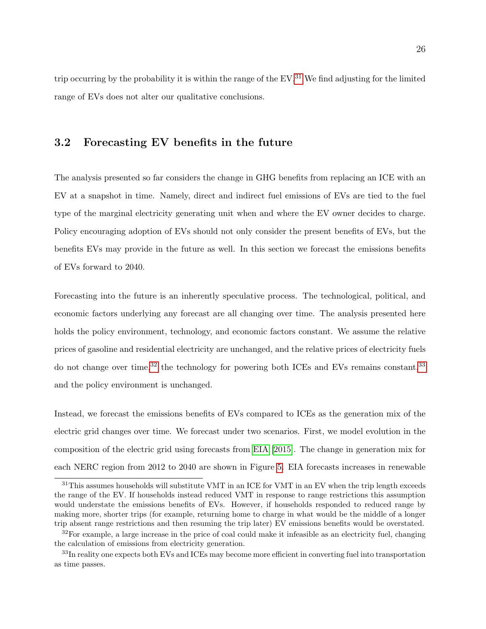trip occurring by the probability it is within the range of the  $EV^{31}$ . We find adjusting for the limited range of EVs does not alter our qualitative conclusions.

### 3.2 Forecasting EV benefits in the future

The analysis presented so far considers the change in GHG benefits from replacing an ICE with an EV at a snapshot in time. Namely, direct and indirect fuel emissions of EVs are tied to the fuel type of the marginal electricity generating unit when and where the EV owner decides to charge. Policy encouraging adoption of EVs should not only consider the present benefits of EVs, but the benefits EVs may provide in the future as well. In this section we forecast the emissions benefits of EVs forward to 2040.

Forecasting into the future is an inherently speculative process. The technological, political, and economic factors underlying any forecast are all changing over time. The analysis presented here holds the policy environment, technology, and economic factors constant. We assume the relative prices of gasoline and residential electricity are unchanged, and the relative prices of electricity fuels do not change over time,<sup>32</sup> the technology for powering both ICEs and EVs remains constant,<sup>33</sup> and the policy environment is unchanged.

Instead, we forecast the emissions benefits of EVs compared to ICEs as the generation mix of the electric grid changes over time. We forecast under two scenarios. First, we model evolution in the composition of the electric grid using forecasts from EIA [2015]. The change in generation mix for each NERC region from 2012 to 2040 are shown in Figure 5. EIA forecasts increases in renewable

 $31$ This assumes households will substitute VMT in an ICE for VMT in an EV when the trip length exceeds the range of the EV. If households instead reduced VMT in response to range restrictions this assumption would understate the emissions benefits of EVs. However, if households responded to reduced range by making more, shorter trips (for example, returning home to charge in what would be the middle of a longer trip absent range restrictions and then resuming the trip later) EV emissions benefits would be overstated.

 $32$ For example, a large increase in the price of coal could make it infeasible as an electricity fuel, changing the calculation of emissions from electricity generation.

<sup>&</sup>lt;sup>33</sup>In reality one expects both EVs and ICEs may become more efficient in converting fuel into transportation as time passes.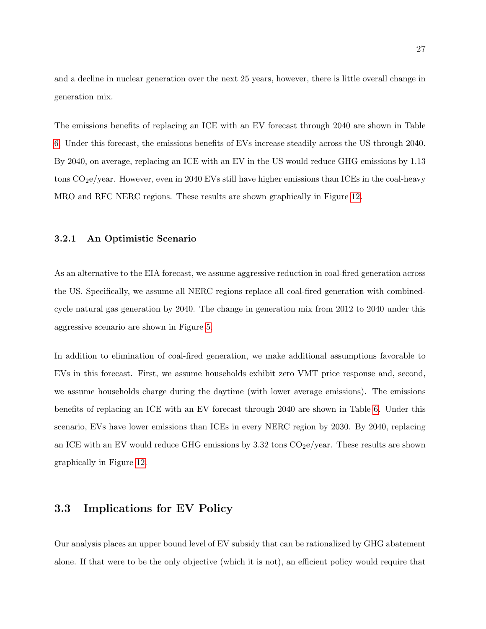and a decline in nuclear generation over the next 25 years, however, there is little overall change in generation mix.

The emissions benefits of replacing an ICE with an EV forecast through 2040 are shown in Table 6. Under this forecast, the emissions benefits of EVs increase steadily across the US through 2040. By 2040, on average, replacing an ICE with an EV in the US would reduce GHG emissions by 1.13 tons CO<sub>2</sub>e/year. However, even in 2040 EVs still have higher emissions than ICEs in the coal-heavy MRO and RFC NERC regions. These results are shown graphically in Figure 12.

#### 3.2.1 An Optimistic Scenario

As an alternative to the EIA forecast, we assume aggressive reduction in coal-fired generation across the US. Specifically, we assume all NERC regions replace all coal-fired generation with combinedcycle natural gas generation by 2040. The change in generation mix from 2012 to 2040 under this aggressive scenario are shown in Figure 5.

In addition to elimination of coal-fired generation, we make additional assumptions favorable to EVs in this forecast. First, we assume households exhibit zero VMT price response and, second, we assume households charge during the daytime (with lower average emissions). The emissions benefits of replacing an ICE with an EV forecast through 2040 are shown in Table 6. Under this scenario, EVs have lower emissions than ICEs in every NERC region by 2030. By 2040, replacing an ICE with an EV would reduce GHG emissions by  $3.32$  tons  $CO<sub>2</sub>e/year$ . These results are shown graphically in Figure 12.

## 3.3 Implications for EV Policy

Our analysis places an upper bound level of EV subsidy that can be rationalized by GHG abatement alone. If that were to be the only objective (which it is not), an efficient policy would require that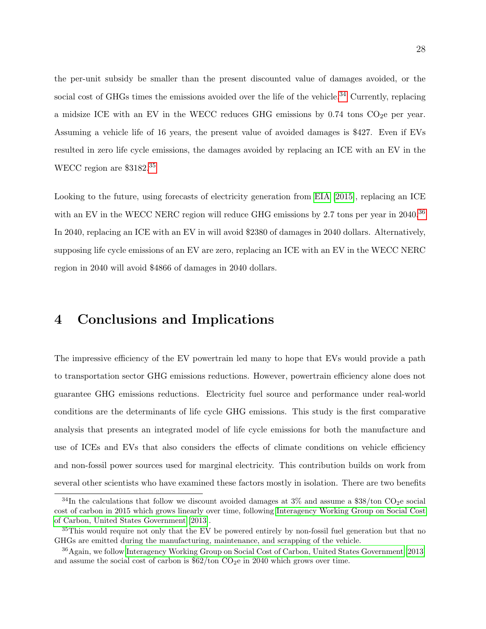the per-unit subsidy be smaller than the present discounted value of damages avoided, or the social cost of GHGs times the emissions avoided over the life of the vehicle.<sup>34</sup> Currently, replacing a midsize ICE with an EV in the WECC reduces GHG emissions by  $0.74$  tons CO<sub>2</sub>e per year. Assuming a vehicle life of 16 years, the present value of avoided damages is \$427. Even if EVs resulted in zero life cycle emissions, the damages avoided by replacing an ICE with an EV in the WECC region are \$3182.35

Looking to the future, using forecasts of electricity generation from EIA [2015], replacing an ICE with an EV in the WECC NERC region will reduce GHG emissions by 2.7 tons per year in 2040.<sup>36</sup> In 2040, replacing an ICE with an EV in will avoid \$2380 of damages in 2040 dollars. Alternatively, supposing life cycle emissions of an EV are zero, replacing an ICE with an EV in the WECC NERC region in 2040 will avoid \$4866 of damages in 2040 dollars.

## 4 Conclusions and Implications

The impressive efficiency of the EV powertrain led many to hope that EVs would provide a path to transportation sector GHG emissions reductions. However, powertrain efficiency alone does not guarantee GHG emissions reductions. Electricity fuel source and performance under real-world conditions are the determinants of life cycle GHG emissions. This study is the first comparative analysis that presents an integrated model of life cycle emissions for both the manufacture and use of ICEs and EVs that also considers the effects of climate conditions on vehicle efficiency and non-fossil power sources used for marginal electricity. This contribution builds on work from several other scientists who have examined these factors mostly in isolation. There are two benefits

<sup>&</sup>lt;sup>34</sup>In the calculations that follow we discount avoided damages at  $3\%$  and assume a \$38/ton CO<sub>2</sub>e social cost of carbon in 2015 which grows linearly over time, following Interagency Working Group on Social Cost of Carbon, United States Government [2013].

<sup>&</sup>lt;sup>35</sup>This would require not only that the EV be powered entirely by non-fossil fuel generation but that no GHGs are emitted during the manufacturing, maintenance, and scrapping of the vehicle.

<sup>36</sup>Again, we follow Interagency Working Group on Social Cost of Carbon, United States Government [2013] and assume the social cost of carbon is  $$62/t$ on CO<sub>2</sub>e in 2040 which grows over time.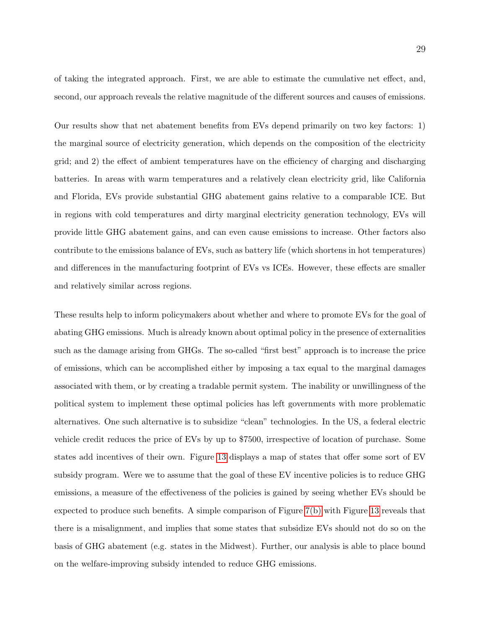of taking the integrated approach. First, we are able to estimate the cumulative net effect, and, second, our approach reveals the relative magnitude of the different sources and causes of emissions.

Our results show that net abatement benefits from EVs depend primarily on two key factors: 1) the marginal source of electricity generation, which depends on the composition of the electricity grid; and 2) the effect of ambient temperatures have on the efficiency of charging and discharging batteries. In areas with warm temperatures and a relatively clean electricity grid, like California and Florida, EVs provide substantial GHG abatement gains relative to a comparable ICE. But in regions with cold temperatures and dirty marginal electricity generation technology, EVs will provide little GHG abatement gains, and can even cause emissions to increase. Other factors also contribute to the emissions balance of EVs, such as battery life (which shortens in hot temperatures) and differences in the manufacturing footprint of EVs vs ICEs. However, these effects are smaller and relatively similar across regions.

These results help to inform policymakers about whether and where to promote EVs for the goal of abating GHG emissions. Much is already known about optimal policy in the presence of externalities such as the damage arising from GHGs. The so-called "first best" approach is to increase the price of emissions, which can be accomplished either by imposing a tax equal to the marginal damages associated with them, or by creating a tradable permit system. The inability or unwillingness of the political system to implement these optimal policies has left governments with more problematic alternatives. One such alternative is to subsidize "clean" technologies. In the US, a federal electric vehicle credit reduces the price of EVs by up to \$7500, irrespective of location of purchase. Some states add incentives of their own. Figure 13 displays a map of states that offer some sort of EV subsidy program. Were we to assume that the goal of these EV incentive policies is to reduce GHG emissions, a measure of the effectiveness of the policies is gained by seeing whether EVs should be expected to produce such benefits. A simple comparison of Figure 7(b) with Figure 13 reveals that there is a misalignment, and implies that some states that subsidize EVs should not do so on the basis of GHG abatement (e.g. states in the Midwest). Further, our analysis is able to place bound on the welfare-improving subsidy intended to reduce GHG emissions.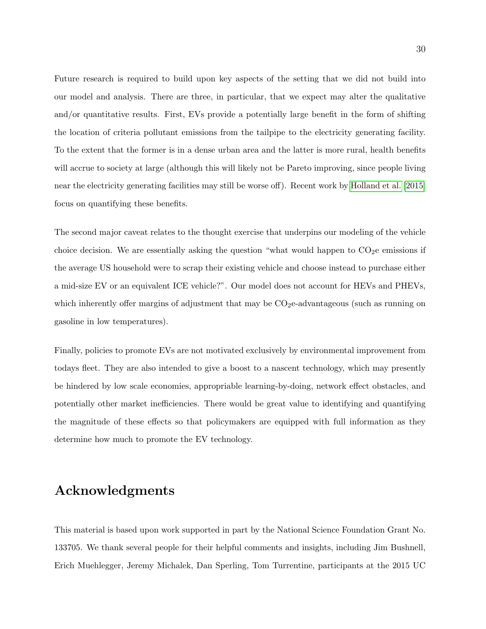Future research is required to build upon key aspects of the setting that we did not build into our model and analysis. There are three, in particular, that we expect may alter the qualitative and/or quantitative results. First, EVs provide a potentially large benefit in the form of shifting the location of criteria pollutant emissions from the tailpipe to the electricity generating facility. To the extent that the former is in a dense urban area and the latter is more rural, health benefits will accrue to society at large (although this will likely not be Pareto improving, since people living near the electricity generating facilities may still be worse off). Recent work by Holland et al. [2015] focus on quantifying these benefits.

The second major caveat relates to the thought exercise that underpins our modeling of the vehicle choice decision. We are essentially asking the question "what would happen to  $CO<sub>2</sub>e$  emissions if the average US household were to scrap their existing vehicle and choose instead to purchase either a mid-size EV or an equivalent ICE vehicle?". Our model does not account for HEVs and PHEVs, which inherently offer margins of adjustment that may be  $CO<sub>2</sub>e$ -advantageous (such as running on gasoline in low temperatures).

Finally, policies to promote EVs are not motivated exclusively by environmental improvement from todays fleet. They are also intended to give a boost to a nascent technology, which may presently be hindered by low scale economies, appropriable learning-by-doing, network effect obstacles, and potentially other market inefficiencies. There would be great value to identifying and quantifying the magnitude of these effects so that policymakers are equipped with full information as they determine how much to promote the EV technology.

## Acknowledgments

This material is based upon work supported in part by the National Science Foundation Grant No. 133705. We thank several people for their helpful comments and insights, including Jim Bushnell, Erich Muehlegger, Jeremy Michalek, Dan Sperling, Tom Turrentine, participants at the 2015 UC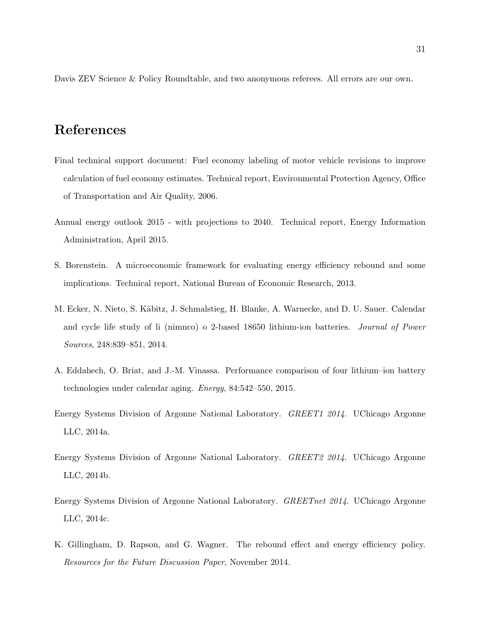Davis ZEV Science & Policy Roundtable, and two anonymous referees. All errors are our own.

## References

- Final technical support document: Fuel economy labeling of motor vehicle revisions to improve calculation of fuel economy estimates. Technical report, Environmental Protection Agency, Office of Transportation and Air Quality, 2006.
- Annual energy outlook 2015 with projections to 2040. Technical report, Energy Information Administration, April 2015.
- S. Borenstein. A microeconomic framework for evaluating energy efficiency rebound and some implications. Technical report, National Bureau of Economic Research, 2013.
- M. Ecker, N. Nieto, S. Käbitz, J. Schmalstieg, H. Blanke, A. Warnecke, and D. U. Sauer. Calendar and cycle life study of li (nimnco) o 2-based 18650 lithium-ion batteries. Journal of Power Sources, 248:839–851, 2014.
- A. Eddahech, O. Briat, and J.-M. Vinassa. Performance comparison of four lithium–ion battery technologies under calendar aging. Energy, 84:542–550, 2015.
- Energy Systems Division of Argonne National Laboratory. GREET1 2014. UChicago Argonne LLC, 2014a.
- Energy Systems Division of Argonne National Laboratory. GREET2 2014. UChicago Argonne LLC, 2014b.
- Energy Systems Division of Argonne National Laboratory. GREETnet 2014. UChicago Argonne LLC, 2014c.
- K. Gillingham, D. Rapson, and G. Wagner. The rebound effect and energy efficiency policy. Resources for the Future Discussion Paper, November 2014.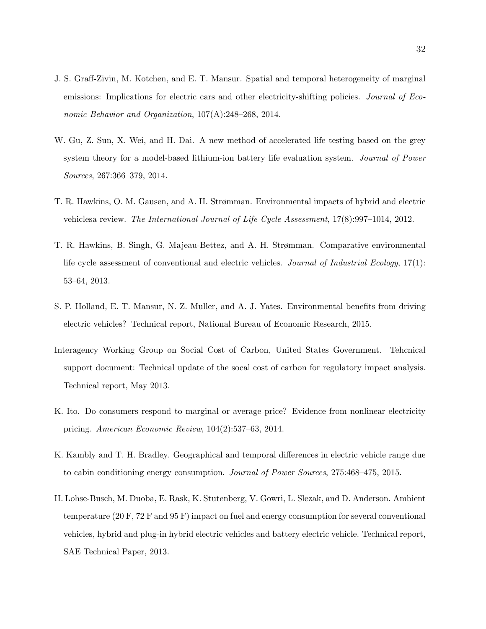- J. S. Graff-Zivin, M. Kotchen, and E. T. Mansur. Spatial and temporal heterogeneity of marginal emissions: Implications for electric cars and other electricity-shifting policies. Journal of Economic Behavior and Organization, 107(A):248–268, 2014.
- W. Gu, Z. Sun, X. Wei, and H. Dai. A new method of accelerated life testing based on the grey system theory for a model-based lithium-ion battery life evaluation system. Journal of Power Sources, 267:366–379, 2014.
- T. R. Hawkins, O. M. Gausen, and A. H. Strømman. Environmental impacts of hybrid and electric vehiclesa review. The International Journal of Life Cycle Assessment, 17(8):997–1014, 2012.
- T. R. Hawkins, B. Singh, G. Majeau-Bettez, and A. H. Strømman. Comparative environmental life cycle assessment of conventional and electric vehicles. Journal of Industrial Ecology, 17(1): 53–64, 2013.
- S. P. Holland, E. T. Mansur, N. Z. Muller, and A. J. Yates. Environmental benefits from driving electric vehicles? Technical report, National Bureau of Economic Research, 2015.
- Interagency Working Group on Social Cost of Carbon, United States Government. Tehcnical support document: Technical update of the socal cost of carbon for regulatory impact analysis. Technical report, May 2013.
- K. Ito. Do consumers respond to marginal or average price? Evidence from nonlinear electricity pricing. American Economic Review, 104(2):537–63, 2014.
- K. Kambly and T. H. Bradley. Geographical and temporal differences in electric vehicle range due to cabin conditioning energy consumption. Journal of Power Sources, 275:468–475, 2015.
- H. Lohse-Busch, M. Duoba, E. Rask, K. Stutenberg, V. Gowri, L. Slezak, and D. Anderson. Ambient temperature (20 F, 72 F and 95 F) impact on fuel and energy consumption for several conventional vehicles, hybrid and plug-in hybrid electric vehicles and battery electric vehicle. Technical report, SAE Technical Paper, 2013.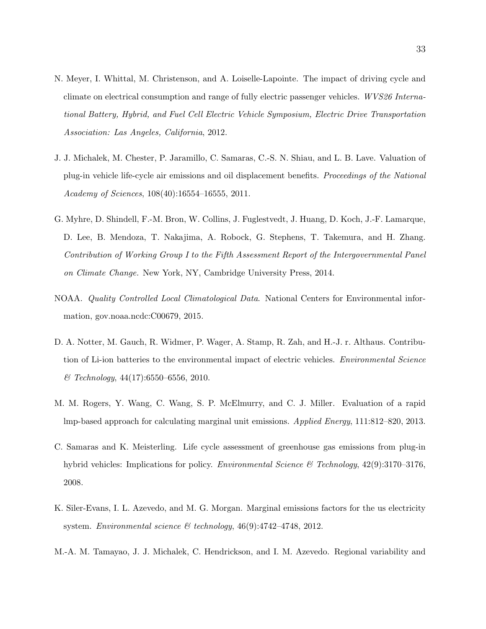- N. Meyer, I. Whittal, M. Christenson, and A. Loiselle-Lapointe. The impact of driving cycle and climate on electrical consumption and range of fully electric passenger vehicles. WVS26 International Battery, Hybrid, and Fuel Cell Electric Vehicle Symposium, Electric Drive Transportation Association: Las Angeles, California, 2012.
- J. J. Michalek, M. Chester, P. Jaramillo, C. Samaras, C.-S. N. Shiau, and L. B. Lave. Valuation of plug-in vehicle life-cycle air emissions and oil displacement benefits. Proceedings of the National Academy of Sciences, 108(40):16554–16555, 2011.
- G. Myhre, D. Shindell, F.-M. Bron, W. Collins, J. Fuglestvedt, J. Huang, D. Koch, J.-F. Lamarque, D. Lee, B. Mendoza, T. Nakajima, A. Robock, G. Stephens, T. Takemura, and H. Zhang. Contribution of Working Group I to the Fifth Assessment Report of the Intergovernmental Panel on Climate Change. New York, NY, Cambridge University Press, 2014.
- NOAA. Quality Controlled Local Climatological Data. National Centers for Environmental information, gov.noaa.ncdc:C00679, 2015.
- D. A. Notter, M. Gauch, R. Widmer, P. Wager, A. Stamp, R. Zah, and H.-J. r. Althaus. Contribution of Li-ion batteries to the environmental impact of electric vehicles. Environmental Science  $\&\text{ Technology},\,44(17):6550-6556,\,2010.$
- M. M. Rogers, Y. Wang, C. Wang, S. P. McElmurry, and C. J. Miller. Evaluation of a rapid lmp-based approach for calculating marginal unit emissions. Applied Energy, 111:812–820, 2013.
- C. Samaras and K. Meisterling. Life cycle assessment of greenhouse gas emissions from plug-in hybrid vehicles: Implications for policy. *Environmental Science & Technology*,  $42(9)$ :3170–3176, 2008.
- K. Siler-Evans, I. L. Azevedo, and M. G. Morgan. Marginal emissions factors for the us electricity system. Environmental science  $\mathcal{B}$  technology, 46(9):4742-4748, 2012.
- M.-A. M. Tamayao, J. J. Michalek, C. Hendrickson, and I. M. Azevedo. Regional variability and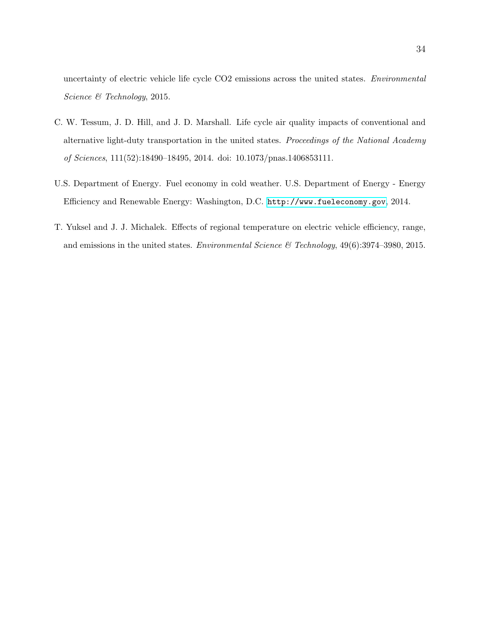uncertainty of electric vehicle life cycle CO2 emissions across the united states. Environmental Science & Technology, 2015.

- C. W. Tessum, J. D. Hill, and J. D. Marshall. Life cycle air quality impacts of conventional and alternative light-duty transportation in the united states. Proceedings of the National Academy of Sciences, 111(52):18490–18495, 2014. doi: 10.1073/pnas.1406853111.
- U.S. Department of Energy. Fuel economy in cold weather. U.S. Department of Energy Energy Efficiency and Renewable Energy: Washington, D.C. <http://www.fueleconomy.gov>, 2014.
- T. Yuksel and J. J. Michalek. Effects of regional temperature on electric vehicle efficiency, range, and emissions in the united states. Environmental Science & Technology,  $49(6):3974-3980$ ,  $2015$ .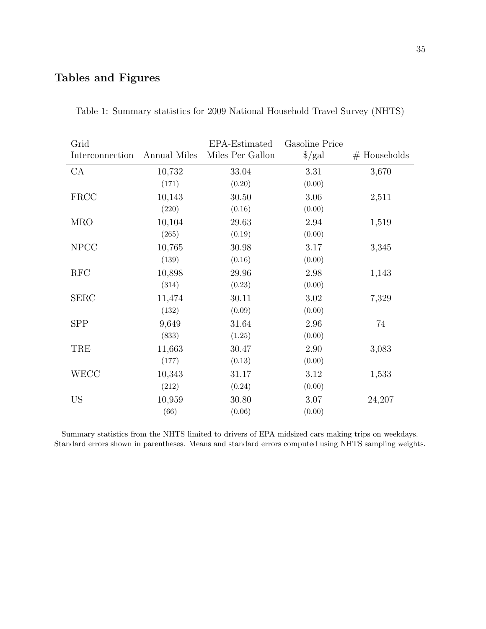## Tables and Figures

| Grid<br>Interconnection | Annual Miles | EPA-Estimated<br>Miles Per Gallon | Gasoline Price<br>$\frac{1}{2}$ | $#$ Households |
|-------------------------|--------------|-----------------------------------|---------------------------------|----------------|
| CA                      | 10,732       | 33.04                             | 3.31                            | 3,670          |
|                         | (171)        | (0.20)                            | (0.00)                          |                |
| <b>FRCC</b>             | 10,143       | 30.50                             | 3.06                            | 2,511          |
|                         | (220)        | (0.16)                            | (0.00)                          |                |
| <b>MRO</b>              | 10,104       | 29.63                             | 2.94                            | 1,519          |
|                         | (265)        | (0.19)                            | (0.00)                          |                |
| <b>NPCC</b>             | 10,765       | 30.98                             | 3.17                            | 3,345          |
|                         | (139)        | (0.16)                            | (0.00)                          |                |
| RFC                     | 10,898       | 29.96                             | 2.98                            | 1,143          |
|                         | (314)        | (0.23)                            | (0.00)                          |                |
| <b>SERC</b>             | 11,474       | 30.11                             | 3.02                            | 7,329          |
|                         | (132)        | (0.09)                            | (0.00)                          |                |
| <b>SPP</b>              | 9,649        | 31.64                             | 2.96                            | 74             |
|                         | (833)        | (1.25)                            | (0.00)                          |                |
| TRE                     | 11,663       | 30.47                             | 2.90                            | 3,083          |
|                         | (177)        | (0.13)                            | (0.00)                          |                |
| <b>WECC</b>             | 10,343       | 31.17                             | 3.12                            | 1,533          |
|                         | (212)        | (0.24)                            | (0.00)                          |                |
| US                      | 10,959       | 30.80                             | 3.07                            | 24,207         |
|                         | (66)         | (0.06)                            | (0.00)                          |                |

Table 1: Summary statistics for 2009 National Household Travel Survey (NHTS)

Summary statistics from the NHTS limited to drivers of EPA midsized cars making trips on weekdays. Standard errors shown in parentheses. Means and standard errors computed using NHTS sampling weights.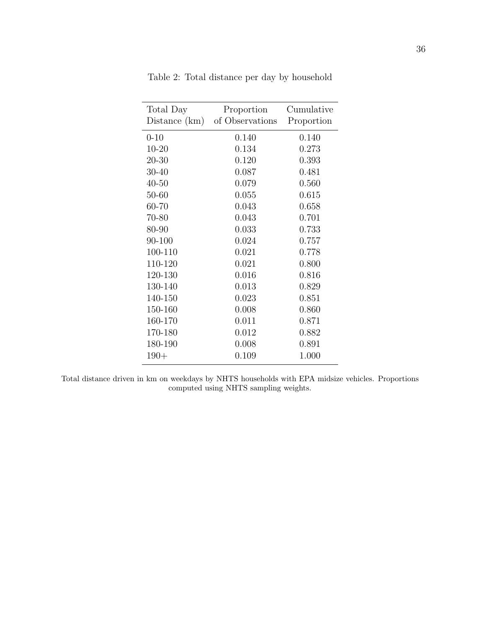| Total Day<br>Distance (km) | Proportion<br>of Observations | Cumulative<br>Proportion |
|----------------------------|-------------------------------|--------------------------|
| $0 - 10$                   | 0.140                         | 0.140                    |
| $10 - 20$                  | 0.134                         | 0.273                    |
| $20 - 30$                  | 0.120                         | 0.393                    |
| $30 - 40$                  | 0.087                         | 0.481                    |
| $40 - 50$                  | 0.079                         | 0.560                    |
| $50 - 60$                  | 0.055                         | 0.615                    |
| 60-70                      | 0.043                         | 0.658                    |
| 70-80                      | 0.043                         | 0.701                    |
| 80-90                      | 0.033                         | 0.733                    |
| 90-100                     | 0.024                         | 0.757                    |
| 100-110                    | 0.021                         | 0.778                    |
| 110-120                    | 0.021                         | 0.800                    |
| 120-130                    | 0.016                         | 0.816                    |
| 130-140                    | 0.013                         | 0.829                    |
| 140-150                    | 0.023                         | 0.851                    |
| 150-160                    | 0.008                         | 0.860                    |
| 160-170                    | 0.011                         | 0.871                    |
| 170-180                    | 0.012                         | 0.882                    |
| 180-190                    | 0.008                         | 0.891                    |
| $190+$                     | 0.109                         | 1.000                    |

Table 2: Total distance per day by household

Total distance driven in km on weekdays by NHTS households with EPA midsize vehicles. Proportions computed using NHTS sampling weights.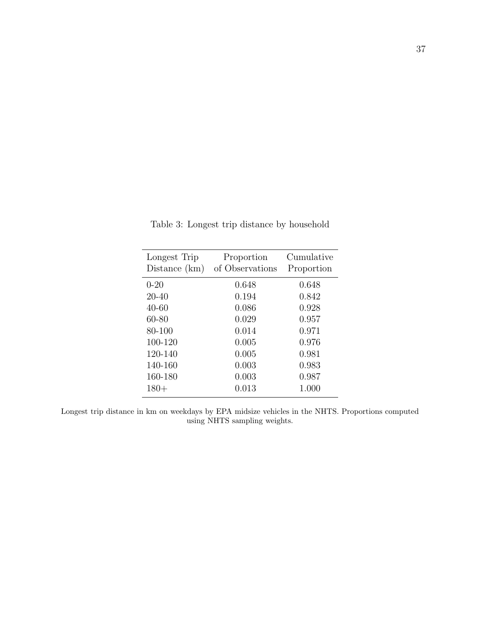| Longest Trip<br>Distance $(km)$ | Proportion<br>of Observations | Cumulative<br>Proportion |
|---------------------------------|-------------------------------|--------------------------|
| $0 - 20$                        | 0.648                         | 0.648                    |
| 20-40                           | 0.194                         | 0.842                    |
| 40-60                           | 0.086                         | 0.928                    |
| 60-80                           | 0.029                         | 0.957                    |
| 80-100                          | 0.014                         | 0.971                    |
| 100-120                         | 0.005                         | 0.976                    |
| 120-140                         | 0.005                         | 0.981                    |
| 140-160                         | 0.003                         | 0.983                    |
| 160-180                         | 0.003                         | 0.987                    |
| $180+$                          | 0.013                         | 1.000                    |

Table 3: Longest trip distance by household

Longest trip distance in km on weekdays by EPA midsize vehicles in the NHTS. Proportions computed using NHTS sampling weights.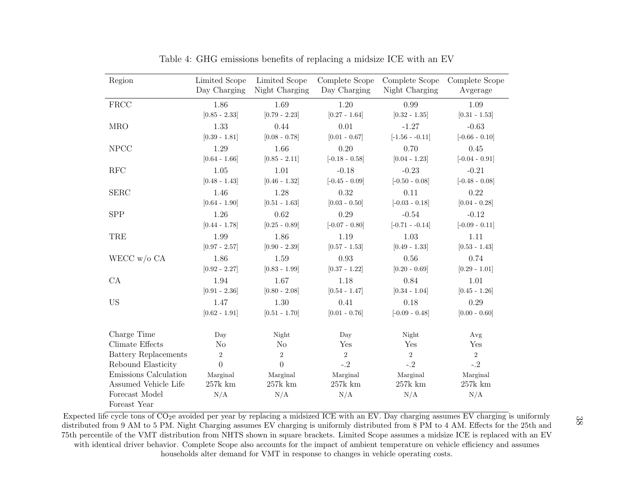| Region                         | Limited Scope<br>Day Charging | Limited Scope<br>Night Charging | Complete Scope<br>Day Charging | Complete Scope<br>Night Charging | Complete Scope<br>Avgerage |
|--------------------------------|-------------------------------|---------------------------------|--------------------------------|----------------------------------|----------------------------|
| <b>FRCC</b>                    | 1.86                          | 1.69                            | 1.20                           | 0.99                             | 1.09                       |
|                                | $[0.85 - 2.33]$               | $[0.79 - 2.23]$                 | $[0.27 - 1.64]$                | $[0.32 - 1.35]$                  | $[0.31 - 1.53]$            |
| <b>MRO</b>                     | 1.33                          | 0.44                            | 0.01                           | $-1.27$                          | $-0.63$                    |
|                                | $[0.39 - 1.81]$               | $[0.08 - 0.78]$                 | $[0.01 - 0.67]$                | $[-1.56 - 0.11]$                 | $[-0.66 - 0.10]$           |
| <b>NPCC</b>                    | 1.29                          | 1.66                            | 0.20                           | 0.70                             | 0.45                       |
|                                | $[0.64 - 1.66]$               | $[0.85 - 2.11]$                 | $[-0.18 - 0.58]$               | $[0.04 - 1.23]$                  | $[-0.04 - 0.91]$           |
| RFC                            | 1.05                          | 1.01                            | $-0.18$                        | $-0.23$                          | $-0.21$                    |
|                                | $[0.48 - 1.43]$               | $[0.46 - 1.32]$                 | $[-0.45 - 0.09]$               | $[-0.50 - 0.08]$                 | $[-0.48 - 0.08]$           |
| <b>SERC</b>                    | 1.46                          | 1.28                            | 0.32                           | 0.11                             | 0.22                       |
|                                | $[0.64 - 1.90]$               | $[0.51 - 1.63]$                 | $[0.03 - 0.50]$                | $[-0.03 - 0.18]$                 | $[0.04 - 0.28]$            |
| <b>SPP</b>                     | 1.26                          | 0.62                            | 0.29                           | $-0.54$                          | $-0.12$                    |
|                                | $[0.44 - 1.78]$               | $[0.25 - 0.89]$                 | $[-0.07 - 0.80]$               | $[-0.71 - -0.14]$                | $[-0.09 - 0.11]$           |
| TRE                            | 1.99                          | 1.86                            | 1.19                           | 1.03                             | 1.11                       |
|                                | $[0.97 - 2.57]$               | $[0.90 - 2.39]$                 | $[0.57 - 1.53]$                | $[0.49 - 1.33]$                  | $[0.53 - 1.43]$            |
| WECC $w/o$ CA                  | 1.86                          | 1.59                            | 0.93                           | $0.56\,$                         | 0.74                       |
|                                | $[0.92 - 2.27]$               | $[0.83 - 1.99]$                 | $[0.37 - 1.22]$                | $[0.20 - 0.69]$                  | $[0.29 - 1.01]$            |
| CA                             | 1.94                          | 1.67                            | 1.18                           | 0.84                             | 1.01                       |
|                                | $[0.91 - 2.36]$               | $[0.80 - 2.08]$                 | $[0.54 - 1.47]$                | $[0.34 - 1.04]$                  | $[0.45 - 1.26]$            |
| $\mathbf{US}$                  | 1.47                          | 1.30                            | 0.41                           | 0.18                             | 0.29                       |
|                                | $[0.62 - 1.91]$               | $[0.51 - 1.70]$                 | $[0.01 - 0.76]$                | $[-0.09 - 0.48]$                 | $[0.00 - 0.60]$            |
| Charge Time                    | Day                           | Night                           | Day                            | Night                            | Avg                        |
| Climate Effects                | N <sub>o</sub>                | No                              | Yes                            | Yes                              | Yes                        |
| Battery Replacements           | $\overline{2}$                | $\overline{2}$                  | $\overline{2}$                 | $\overline{2}$                   | $\overline{2}$             |
| Rebound Elasticity             | $\overline{0}$                | $\Omega$                        | $-.2$                          | $-.2$                            | $-.2$                      |
| Emissions Calculation          | Marginal                      | Marginal                        | Marginal                       | Marginal                         | Marginal                   |
| Assumed Vehicle Life           | $257k$ km $\,$                | $257k$ km                       | $257k$ km                      | $257k$ km                        | $257k$ km                  |
| Forecast Model<br>Foreast Year | N/A                           | N/A                             | N/A                            | N/A                              | N/A                        |

Table 4: GHG emissions benefits of replacing <sup>a</sup> midsize ICE with an EV

Expected life cycle tons of  $CO_2$ e avoided per year by replacing a midsized ICE with an EV. Day charging assumes EV charging is uniformly distributed from 9 AM to 5 PM. Night Charging assumes EV charging is uniformly distributed from 8 PM to 4 AM. Effects for the 25th and 75th percentile of the VMT distribution from NHTS shown in square brackets. Limited Scope assumes <sup>a</sup> midsize ICE is replaced with an EVwith identical driver behavior. Complete Scope also accounts for the impact of ambient temperature on vehicle efficiency and assumeshouseholds alter demand for VMT in response to changes in vehicle operating costs.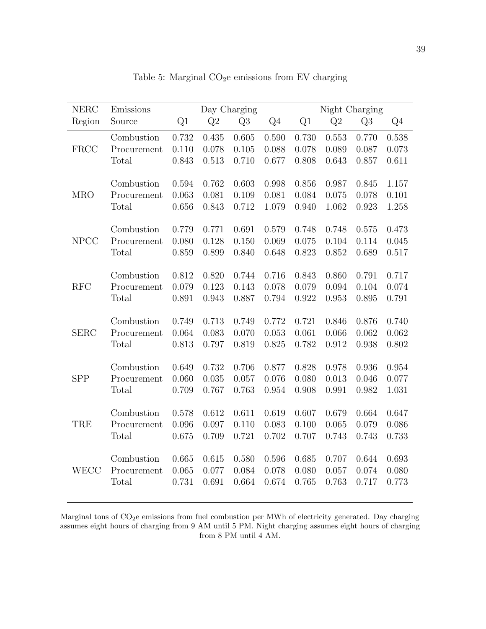| <b>NERC</b> | Emissions            | Day Charging |       |       |                | Night Charging |       |       |       |
|-------------|----------------------|--------------|-------|-------|----------------|----------------|-------|-------|-------|
| Region      | Source               | Q1           | Q2    | Q3    | Q <sub>4</sub> | Q1             | Q2    | Q3    | Q4    |
|             | Combustion           | 0.732        | 0.435 | 0.605 | 0.590          | 0.730          | 0.553 | 0.770 | 0.538 |
| FRCC        | Procurement          | 0.110        | 0.078 | 0.105 | 0.088          | 0.078          | 0.089 | 0.087 | 0.073 |
|             | Total                | 0.843        | 0.513 | 0.710 | 0.677          | 0.808          | 0.643 | 0.857 | 0.611 |
|             | Combustion           | 0.594        | 0.762 | 0.603 | 0.998          | 0.856          | 0.987 | 0.845 | 1.157 |
| <b>MRO</b>  | Procurement          | 0.063        | 0.081 | 0.109 | 0.081          | 0.084          | 0.075 | 0.078 | 0.101 |
|             | Total                | 0.656        | 0.843 | 0.712 | 1.079          | 0.940          | 1.062 | 0.923 | 1.258 |
|             | Combustion           | 0.779        | 0.771 | 0.691 | 0.579          | 0.748          | 0.748 | 0.575 | 0.473 |
| <b>NPCC</b> |                      |              |       |       |                |                |       |       |       |
|             | Procurement<br>Total | 0.080        | 0.128 | 0.150 | 0.069          | 0.075          | 0.104 | 0.114 | 0.045 |
|             |                      | 0.859        | 0.899 | 0.840 | 0.648          | 0.823          | 0.852 | 0.689 | 0.517 |
|             | Combustion           | 0.812        | 0.820 | 0.744 | 0.716          | 0.843          | 0.860 | 0.791 | 0.717 |
| <b>RFC</b>  | Procurement          | 0.079        | 0.123 | 0.143 | 0.078          | 0.079          | 0.094 | 0.104 | 0.074 |
|             | Total                | 0.891        | 0.943 | 0.887 | 0.794          | 0.922          | 0.953 | 0.895 | 0.791 |
|             | Combustion           | 0.749        | 0.713 | 0.749 | 0.772          | 0.721          | 0.846 | 0.876 | 0.740 |
| <b>SERC</b> | Procurement          | 0.064        | 0.083 | 0.070 | 0.053          | 0.061          | 0.066 | 0.062 | 0.062 |
|             | Total                | 0.813        | 0.797 | 0.819 | 0.825          | 0.782          | 0.912 | 0.938 | 0.802 |
|             | Combustion           | 0.649        | 0.732 | 0.706 | 0.877          | 0.828          | 0.978 | 0.936 | 0.954 |
| <b>SPP</b>  | Procurement          | 0.060        | 0.035 | 0.057 | 0.076          | 0.080          | 0.013 | 0.046 | 0.077 |
|             | Total                | 0.709        | 0.767 | 0.763 | 0.954          | 0.908          | 0.991 | 0.982 | 1.031 |
|             |                      |              |       |       |                |                |       |       |       |
|             | Combustion           | 0.578        | 0.612 | 0.611 | 0.619          | 0.607          | 0.679 | 0.664 | 0.647 |
| TRE         | Procurement          | 0.096        | 0.097 | 0.110 | 0.083          | 0.100          | 0.065 | 0.079 | 0.086 |
|             | Total                | 0.675        | 0.709 | 0.721 | 0.702          | 0.707          | 0.743 | 0.743 | 0.733 |
|             | Combustion           | 0.665        | 0.615 | 0.580 | 0.596          | 0.685          | 0.707 | 0.644 | 0.693 |
| WECC        | Procurement          | 0.065        | 0.077 | 0.084 | 0.078          | 0.080          | 0.057 | 0.074 | 0.080 |
|             | Total                | 0.731        | 0.691 | 0.664 | 0.674          | 0.765          | 0.763 | 0.717 | 0.773 |
|             |                      |              |       |       |                |                |       |       |       |

Table 5: Marginal  $CO<sub>2</sub>e$  emissions from EV charging

Marginal tons of CO<sub>2</sub>e emissions from fuel combustion per MWh of electricity generated. Day charging assumes eight hours of charging from 9 AM until 5 PM. Night charging assumes eight hours of charging from 8 PM until 4 AM.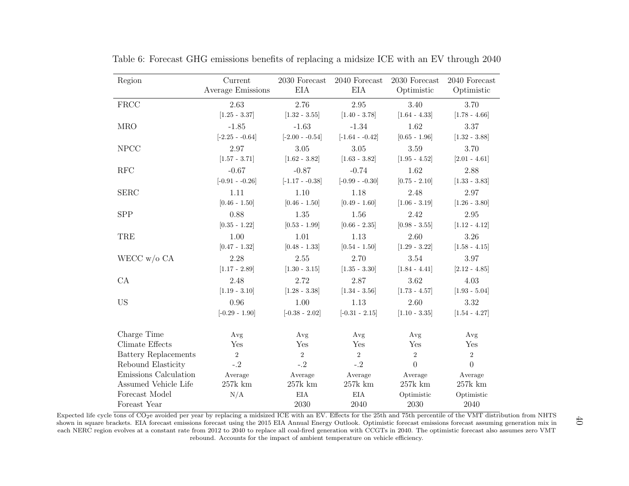| Region                      | Current<br>Average Emissions | 2030 Forecast<br>EIA | $2040$ Forecast<br>EIA | 2030 Forecast<br>Optimistic | 2040 Forecast<br>Optimistic |
|-----------------------------|------------------------------|----------------------|------------------------|-----------------------------|-----------------------------|
| <b>FRCC</b>                 | 2.63                         | 2.76                 | 2.95                   | 3.40                        | 3.70                        |
|                             | $[1.25 - 3.37]$              | $[1.32 - 3.55]$      | $[1.40 - 3.78]$        | $[1.64 - 4.33]$             | $[1.78 - 4.66]$             |
| <b>MRO</b>                  | $-1.85$                      | $-1.63$              | $-1.34$                | 1.62                        | 3.37                        |
|                             | $[-2.25 - 0.64]$             | $[-2.00 - 0.54]$     | $[-1.64 - 0.42]$       | $[0.65 - 1.96]$             | $[1.32 - 3.88]$             |
| <b>NPCC</b>                 | 2.97                         | $3.05\,$             | 3.05                   | 3.59                        | 3.70                        |
|                             | $[1.57 - 3.71]$              | $[1.62 - 3.82]$      | $[1.63 - 3.82]$        | $[1.95 - 4.52]$             | $[2.01 - 4.61]$             |
| RFC                         | $-0.67$                      | $-0.87$              | $-0.74$                | 1.62                        | 2.88                        |
|                             | $[-0.91 - 0.26]$             | $[-1.17 - 0.38]$     | $[-0.99 - 0.30]$       | $[0.75 - 2.10]$             | $[1.33 - 3.83]$             |
| <b>SERC</b>                 | 1.11                         | 1.10                 | 1.18                   | 2.48                        | 2.97                        |
|                             | $[0.46 - 1.50]$              | $[0.46 - 1.50]$      | $[0.49 - 1.60]$        | $[1.06 - 3.19]$             | $[1.26 - 3.80]$             |
| SPP                         | 0.88                         | 1.35                 | 1.56                   | 2.42                        | 2.95                        |
|                             | $[0.35 - 1.22]$              | $[0.53 - 1.99]$      | $[0.66 - 2.35]$        | $[0.98 - 3.55]$             | $[1.12 - 4.12]$             |
| TRE                         | 1.00                         | 1.01                 | 1.13                   | 2.60                        | 3.26                        |
|                             | $[0.47 - 1.32]$              | $[0.48 - 1.33]$      | $[0.54 - 1.50]$        | $[1.29 - 3.22]$             | $[1.58 - 4.15]$             |
| WECC $w/o$ CA               | 2.28                         | 2.55                 | 2.70                   | 3.54                        | 3.97                        |
|                             | $[1.17 - 2.89]$              | $[1.30 - 3.15]$      | $[1.35 - 3.30]$        | $[1.84 - 4.41]$             | $[2.12 - 4.85]$             |
| CA                          | 2.48                         | 2.72                 | 2.87                   | 3.62                        | 4.03                        |
|                             | $[1.19 - 3.10]$              | $[1.28 - 3.38]$      | $[1.34 - 3.56]$        | $[1.73 - 4.57]$             | $[1.93 - 5.04]$             |
| <b>US</b>                   | 0.96                         | 1.00                 | 1.13                   | 2.60                        | 3.32                        |
|                             | $[-0.29 - 1.90]$             | $[-0.38 - 2.02]$     | $[-0.31 - 2.15]$       | $[1.10 - 3.35]$             | $[1.54 - 4.27]$             |
| Charge Time                 | Avg                          | Avg                  | Avg                    | Avg                         | Avg                         |
| Climate Effects             | Yes                          | Yes                  | Yes                    | Yes                         | Yes                         |
| <b>Battery Replacements</b> | 2                            | $\overline{2}$       | $\overline{2}$         | $\,2$                       | $\sqrt{2}$                  |
| Rebound Elasticity          | $-.2$                        | $-.2$                | $-2$                   | $\theta$                    | $\overline{0}$              |
| Emissions Calculation       | Average                      | Average              | Average                | Average                     | Average                     |
| Assumed Vehicle Life        | $257k$ km                    | $257k$ km            | $257k$ km              | $257k$ km                   | $257k$ km                   |
| Forecast Model              | N/A                          | EIA                  | <b>EIA</b>             | Optimistic                  | Optimistic                  |
| Foreast Year                |                              | 2030                 | 2040                   | 2030                        | 2040                        |

Table 6: Forecast GHG emissions benefits of replacing <sup>a</sup> midsize ICE with an EV through 2040

Expected life cycle tons of CO<sub>2</sub>e avoided per year by replacing a midsized ICE with an EV. Effects for the 25th and 75th percentile of the VMT distribution from NHTS shown in square brackets. EIA forecast emissions forecast using the 2015 EIA Annual Energy Outlook. Optimistic forecast emissions forecast assuming generation mix in each NERC region evolves at <sup>a</sup> constant rate from 2012 to 2040 to replace all coal-fired generation with CCGTs in 2040. The optimistic forecast also assumes zero VMTrebound. Accounts for the impact of ambient temperature on vehicle efficiency.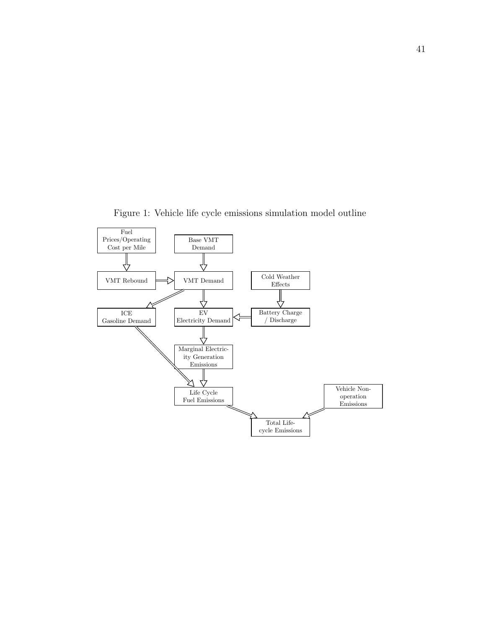

Figure 1: Vehicle life cycle emissions simulation model outline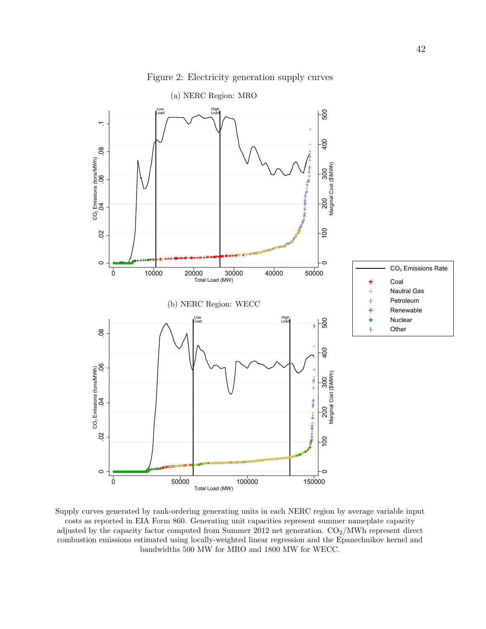

Figure 2: Electricity generation supply curves

Supply curves generated by rank-ordering generating units in each NERC region by average variable input costs as reported in EIA Form 860. Generating unit capacities represent summer nameplate capacity adjusted by the capacity factor computed from Summer 2012 net generation.  $CO<sub>2</sub>/MWh$  represent direct combustion emissions estimated using locally-weighted linear regression and the Epanechnikov kernel and bandwidths 500 MW for MRO and 1800 MW for WECC.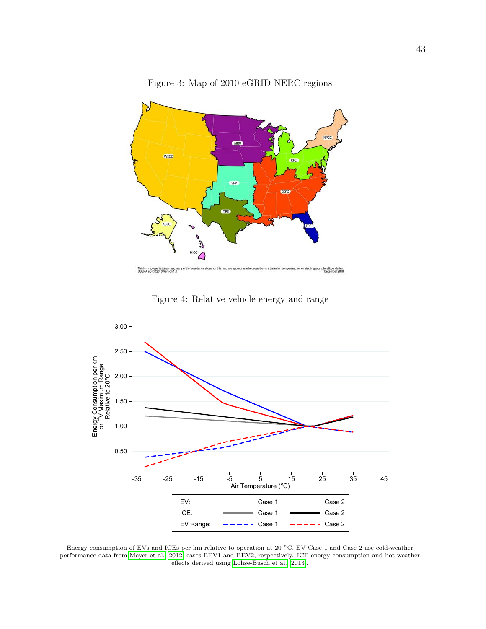

Figure 3: Map of 2010 eGRID NERC regions

Figure 4: Relative vehicle energy and range



Energy consumption of EVs and ICEs per km relative to operation at 20 ◦C. EV Case 1 and Case 2 use cold-weather performance data from Meyer et al. [2012] cases BEV1 and BEV2, respectively. ICE energy consumption and hot weather effects derived using Lohse-Busch et al. [2013].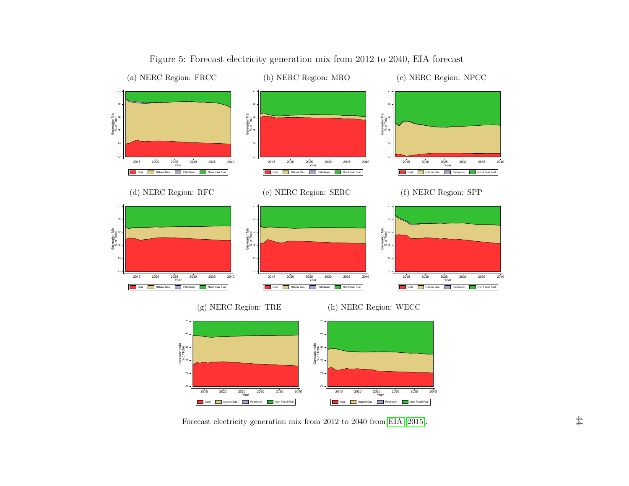

## Figure 5: Forecast electricity generation mix from <sup>2012</sup> to 2040, EIA forecast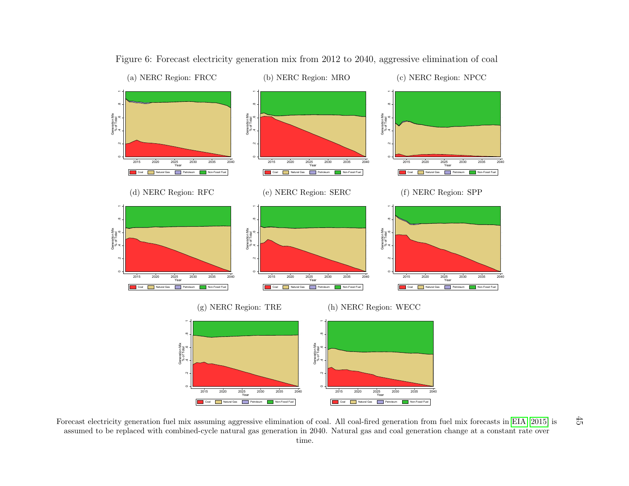

Figure 6: Forecast electricity generation mix from <sup>2012</sup> to 2040, aggressive elimination of coal

<sup>2020</sup> <sup>2020</sup> <sup>2035</sup> <sup>2030</sup> <sup>2035</sup> <sup>2040</sup><br><sup>2031</sup> **E** <sup>Natural Gas **E** Petrokum **E** Non-Fossi Fuel<br>
2010<br>
2020 **2035** <br>
2040<br>
2035 <br>
2040<br>
2035 <br>
2040<br>
2035 <br>
2040<br>
2035 <br>
2040<br>
2035 <br>
2040<br>
2035 <br>
2040<br>
2040<br>
2040<br>
2040<br>
</sup> Natural Gas<br>
ning agg<br>
cle natur **Petroleum**<br>gressive<br>ral gas  $\frac{2020}{\text{Year}}$   $\frac{2030}{\text{Year}}$   $\frac{2035}{\text{Year}}$   $\frac{2040}{\text{Year}}$   $\frac{2040}{\text{other}}$   $\frac{2040}{\text{other}}$ <br>  $\frac{2040}{\text{other}}$   $\frac{2040}{\text{other}}$   $\frac{2040}{\text{other}}$   $\frac{2040}{\text{other}}$ Natural Gas<br>Coal-fire<br>ural gas Petroleum<br>ed gene<br>and co Forecast electricity generation fuel mix assuming aggressive elimination of coal. All coal-fired generation from fuel mix forecasts in EIA [2015] is assumed to be replaced with combined-cycle natural gas generation in 204 assumed to be replaced with combined-cycle natural gas generation in 2040. Natural gas and coal generation change at <sup>a</sup> constant rate overtime.

 $45$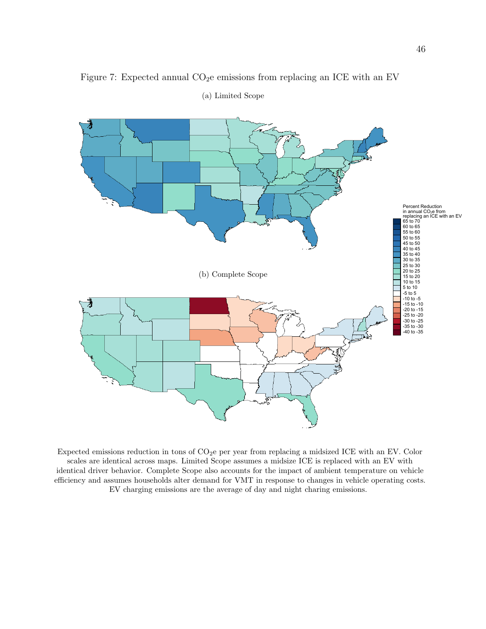

### Figure 7: Expected annual  $CO<sub>2</sub>e$  emissions from replacing an ICE with an EV

(a) Limited Scope

Expected emissions reduction in tons of  $CO<sub>2</sub>e$  per year from replacing a midsized ICE with an EV. Color scales are identical across maps. Limited Scope assumes a midsize ICE is replaced with an EV with identical driver behavior. Complete Scope also accounts for the impact of ambient temperature on vehicle efficiency and assumes households alter demand for VMT in response to changes in vehicle operating costs. EV charging emissions are the average of day and night charing emissions.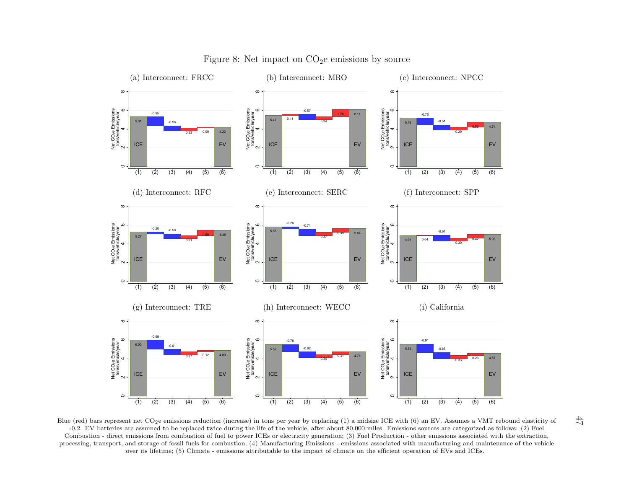

Figure 8: Net impact on  $CO<sub>2</sub>e$  emissions by source

 (2) (3) (4) (5) (6) Blue (red) bars represent net CO2<sup>e</sup> emissions reduction (increase) in tons per year by replacing (1) <sup>a</sup> midsize ICE with (6) an EV. Assumes <sup>a</sup> VMT rebound elasticity of -0.2. EV batteries are assumed to be replaced twice during the life of the vehicle, after about 80,000 miles. Emissions sources are categorized as follows: (2) Fuel Combustion - direct emissions from combustion of fuel to power ICEs or electricity generation; (3) Fuel Production - other emissions associated with the extraction, processing, transport, and storage of fossil fuels for combustion; (4) Manufacturing Emissions - emissions associated with manufacturing and maintenance of the vehicleover its lifetime; (5) Climate - emissions attributable to the impact of climate on the efficient operation of EVs and ICEs.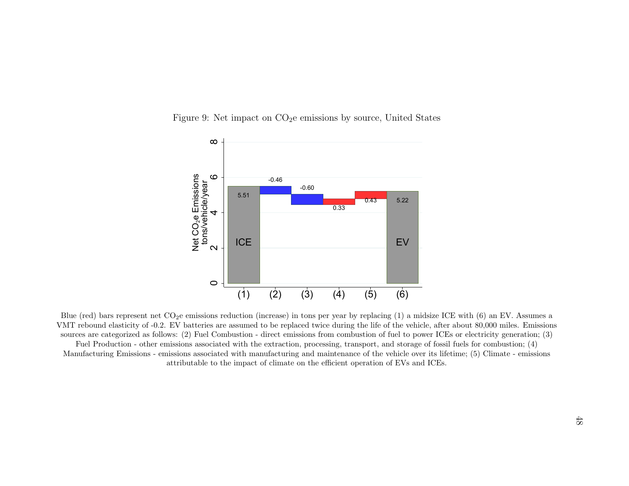



(1) (2) (3) (4) (5) (6)<br>Blue (red) bars represent net CO<sub>2</sub>e emissions reduction (increase) in tons per year by replacing (1) a midsize ICE with (6) an EV. Assumes a<br>MT rebound elasticity of -0.2. EV batteries are assumed VMT rebound elasticity of -0.2. EV batteries are assumed to be replaced twice during the life of the vehicle, after about 80,000 miles. Emissionssources are categorized as follows: (2) Fuel Combustion - direct emissions from combustion of fuel to power ICEs or electricity generation; (3)Fuel Production - other emissions associated with the extraction, processing, transport, and storage of fossil fuels for combustion; (4) Manufacturing Emissions - emissions associated with manufacturing and maintenance of the vehicle over its lifetime; (5) Climate - emissionsattributable to the impact of climate on the efficient operation of EVs and ICEs.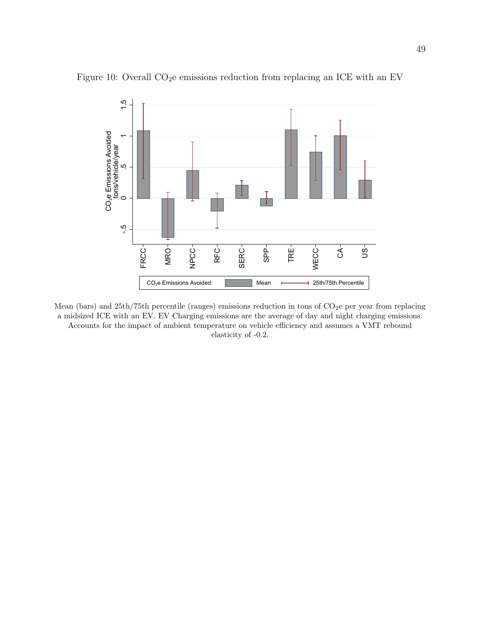

Figure 10: Overall  $CO<sub>2</sub>e$  emissions reduction from replacing an ICE with an EV

Mean (bars) and  $25th/75th$  percentile (ranges) emissions reduction in tons of  $CO<sub>2</sub>e$  per year from replacing a midsized ICE with an EV. EV Charging emissions are the average of day and night charging emissions. Accounts for the impact of ambient temperature on vehicle efficiency and assumes a VMT rebound elasticity of -0.2.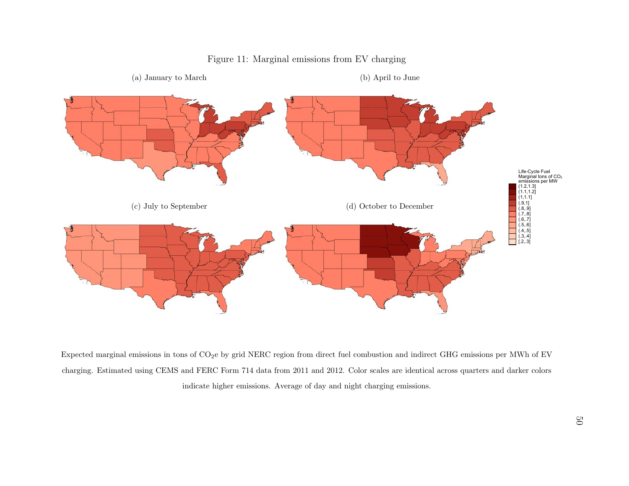

## Figure 11: Marginal emissions from EV charging

Ĺ Expected marginal emissions in tons of  $CO_2e$  by grid NERC region from direct fuel combustion and indirect GHG emissions per MWh of EV charging. Estimated using CEMS and FERC Form 714 data from 2011 and 2012. Color scales charging. Estimated using CEMS and FERC Form 714 data from 2011 and 2012. Color scales are identical across quarters and darker colorsindicate higher emissions. Average of day and night charging emissions.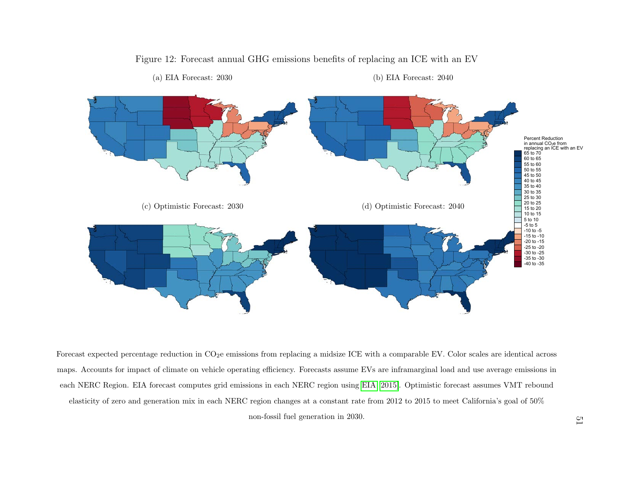

Figure 12: Forecast annual GHG emissions benefits of replacing an ICE with an EV

Forecast expected percentage reduction in CO<sub>2</sub>e emissions from replacing a midsize ICE with a comparable EV. Color scales are identical across<br>maps. Accounts for impact of climate on vehicle operating efficiency. Forecast maps. Accounts for impact of climate on vehicle operating efficiency. Forecasts assume EVs are inframarginal load and use average emissions ineach NERC Region. EIA forecast computes grid emissions in each NERC region using EIA [2015]. Optimistic forecast assumes VMT reboundelasticity of zero and generation mix in each NERC region changes at <sup>a</sup> constant rate from 2012 to 2015 to meet California's goal of 50%

non-fossil fuel generation in 2030.